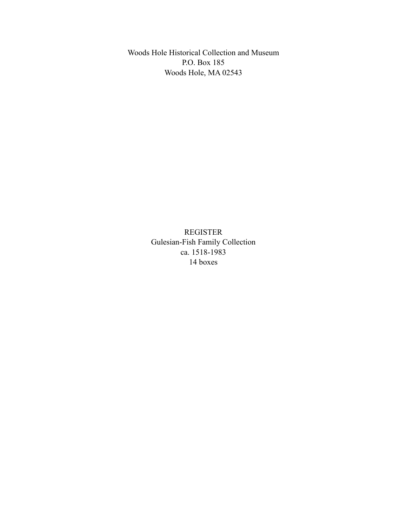Woods Hole Historical Collection and Museum P.O. Box 185 Woods Hole, MA 02543

> REGISTER Gulesian-Fish Family Collection ca. 1518-1983 14 boxes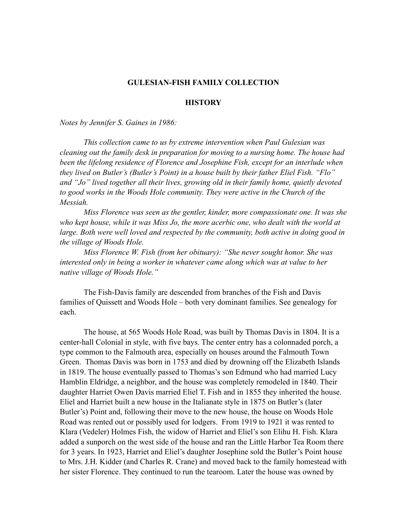#### **GULESIAN-FISH FAMILY COLLECTION**

#### **HISTORY**

*Notes by Jennifer S. Gaines in 1986:*

*This collection came to us by extreme intervention when Paul Gulesian was cleaning out the family desk in preparation for moving to a nursing home. The house had been the lifelong residence of Florence and Josephine Fish, except for an interlude when they lived on Butler's (Butler's Point) in a house built by their father Eliel Fish. "Flo" and "Jo" lived together all their lives, growing old in their family home, quietly devoted to good works in the Woods Hole community. They were active in the Church of the Messiah.*

*Miss Florence was seen as the gentler, kinder, more compassionate one. It was she who kept house, while it was Miss Jo, the more acerbic one, who dealt with the world at*  large. Both were well loved and respected by the community, both active in doing good in *the village of Woods Hole.*

*Miss Florence W. Fish (from her obituary): "She never sought honor. She was interested only in being a worker in whatever came along which was at value to her native village of Woods Hole."*

The Fish-Davis family are descended from branches of the Fish and Davis families of Quissett and Woods Hole – both very dominant families. See genealogy for each.

The house, at 565 Woods Hole Road, was built by Thomas Davis in 1804. It is a center-hall Colonial in style, with five bays. The center entry has a colonnaded porch, a type common to the Falmouth area, especially on houses around the Falmouth Town Green. Thomas Davis was born in 1753 and died by drowning off the Elizabeth Islands in 1819. The house eventually passed to Thomas's son Edmund who had married Lucy Hamblin Eldridge, a neighbor, and the house was completely remodeled in 1840. Their daughter Harriet Owen Davis married Eliel T. Fish and in 1855 they inherited the house. Eliel and Harriet built a new house in the Italianate style in 1875 on Butler's (later Butler's) Point and, following their move to the new house, the house on Woods Hole Road was rented out or possibly used for lodgers. From 1919 to 1921 it was rented to Klara (Vedeler) Holmes Fish, the widow of Harriet and Eliel's son Elihu H. Fish. Klara added a sunporch on the west side of the house and ran the Little Harbor Tea Room there for 3 years. In 1923, Harriet and Eliel's daughter Josephine sold the Butler's Point house to Mrs. J.H. Kidder (and Charles R. Crane) and moved back to the family homestead with her sister Florence. They continued to run the tearoom. Later the house was owned by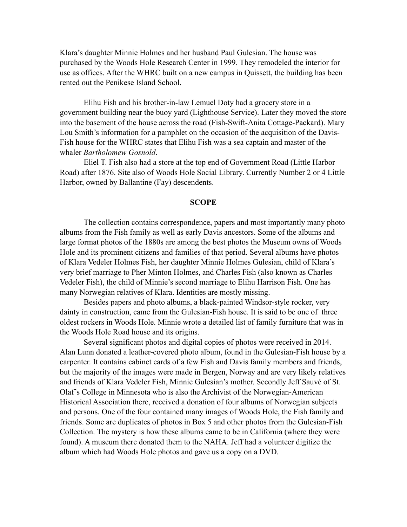Klara's daughter Minnie Holmes and her husband Paul Gulesian. The house was purchased by the Woods Hole Research Center in 1999. They remodeled the interior for use as offices. After the WHRC built on a new campus in Quissett, the building has been rented out the Penikese Island School.

Elihu Fish and his brother-in-law Lemuel Doty had a grocery store in a government building near the buoy yard (Lighthouse Service). Later they moved the store into the basement of the house across the road (Fish-Swift-Anita Cottage-Packard). Mary Lou Smith's information for a pamphlet on the occasion of the acquisition of the Davis-Fish house for the WHRC states that Elihu Fish was a sea captain and master of the whaler *Bartholomew Gosnold*.

Eliel T. Fish also had a store at the top end of Government Road (Little Harbor Road) after 1876. Site also of Woods Hole Social Library. Currently Number 2 or 4 Little Harbor, owned by Ballantine (Fay) descendents.

#### **SCOPE**

The collection contains correspondence, papers and most importantly many photo albums from the Fish family as well as early Davis ancestors. Some of the albums and large format photos of the 1880s are among the best photos the Museum owns of Woods Hole and its prominent citizens and families of that period. Several albums have photos of Klara Vedeler Holmes Fish, her daughter Minnie Holmes Gulesian, child of Klara's very brief marriage to Pher Minton Holmes, and Charles Fish (also known as Charles Vedeler Fish), the child of Minnie's second marriage to Elihu Harrison Fish. One has many Norwegian relatives of Klara. Identities are mostly missing.

Besides papers and photo albums, a black-painted Windsor-style rocker, very dainty in construction, came from the Gulesian-Fish house. It is said to be one of three oldest rockers in Woods Hole. Minnie wrote a detailed list of family furniture that was in the Woods Hole Road house and its origins.

Several significant photos and digital copies of photos were received in 2014. Alan Lunn donated a leather-covered photo album, found in the Gulesian-Fish house by a carpenter. It contains cabinet cards of a few Fish and Davis family members and friends, but the majority of the images were made in Bergen, Norway and are very likely relatives and friends of Klara Vedeler Fish, Minnie Gulesian's mother. Secondly Jeff Sauvé of St. Olaf's College in Minnesota who is also the Archivist of the Norwegian-American Historical Association there, received a donation of four albums of Norwegian subjects and persons. One of the four contained many images of Woods Hole, the Fish family and friends. Some are duplicates of photos in Box 5 and other photos from the Gulesian-Fish Collection. The mystery is how these albums came to be in California (where they were found). A museum there donated them to the NAHA. Jeff had a volunteer digitize the album which had Woods Hole photos and gave us a copy on a DVD.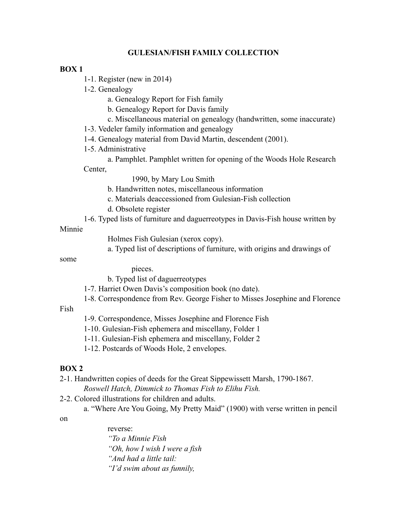## **GULESIAN/FISH FAMILY COLLECTION**

#### **BOX 1**

- 1-1. Register (new in 2014)
- 1-2. Genealogy
	- a. Genealogy Report for Fish family
	- b. Genealogy Report for Davis family
	- c. Miscellaneous material on genealogy (handwritten, some inaccurate)
- 1-3. Vedeler family information and genealogy
- 1-4. Genealogy material from David Martin, descendent (2001).
- 1-5. Administrative
- a. Pamphlet. Pamphlet written for opening of the Woods Hole Research Center,
	- 1990, by Mary Lou Smith
	- b. Handwritten notes, miscellaneous information
	- c. Materials deaccessioned from Gulesian-Fish collection
	- d. Obsolete register
- 1-6. Typed lists of furniture and daguerreotypes in Davis-Fish house written by

#### Minnie

- Holmes Fish Gulesian (xerox copy).
- a. Typed list of descriptions of furniture, with origins and drawings of

#### some

- pieces.
- b. Typed list of daguerreotypes
- 1-7. Harriet Owen Davis's composition book (no date).
- 1-8. Correspondence from Rev. George Fisher to Misses Josephine and Florence

## Fish

- 1-9. Correspondence, Misses Josephine and Florence Fish
- 1-10. Gulesian-Fish ephemera and miscellany, Folder 1
- 1-11. Gulesian-Fish ephemera and miscellany, Folder 2
- 1-12. Postcards of Woods Hole, 2 envelopes.

## **BOX 2**

2-1. Handwritten copies of deeds for the Great Sippewissett Marsh, 1790-1867. *Roswell Hatch, Dimmick to Thomas Fish to Elihu Fish.*

2-2. Colored illustrations for children and adults.

a. "Where Are You Going, My Pretty Maid" (1900) with verse written in pencil

#### on

reverse: *"To a Minnie Fish "Oh, how I wish I were a fish "And had a little tail: "I'd swim about as funnily,*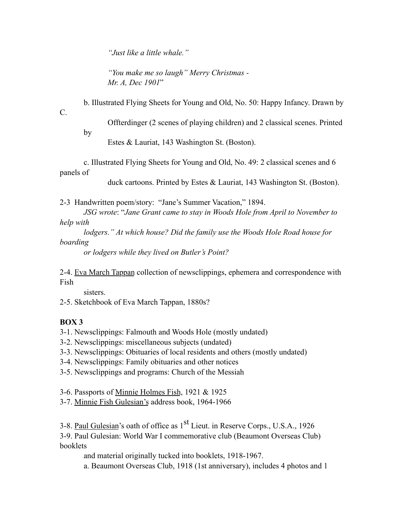*"Just like a little whale."*

*"You make me so laugh" Merry Christmas - Mr. A, Dec 1901*"

b. Illustrated Flying Sheets for Young and Old, No. 50: Happy Infancy. Drawn by

C.

by

Offterdinger (2 scenes of playing children) and 2 classical scenes. Printed

Estes & Lauriat, 143 Washington St. (Boston).

c. Illustrated Flying Sheets for Young and Old, No. 49: 2 classical scenes and 6 panels of

duck cartoons. Printed by Estes & Lauriat, 143 Washington St. (Boston).

2-3 Handwritten poem/story: "Jane's Summer Vacation," 1894.

*JSG wrote*: "*Jane Grant came to stay in Woods Hole from April to November to help with*

*lodgers." At which house? Did the family use the Woods Hole Road house for boarding* 

*or lodgers while they lived on Butler's Point?*

2-4. Eva March Tappan collection of newsclippings, ephemera and correspondence with Fish

sisters.

2-5. Sketchbook of Eva March Tappan, 1880s?

# **BOX 3**

3-1. Newsclippings: Falmouth and Woods Hole (mostly undated)

- 3-2. Newsclippings: miscellaneous subjects (undated)
- 3-3. Newsclippings: Obituaries of local residents and others (mostly undated)
- 3-4. Newsclippings: Family obituaries and other notices
- 3-5. Newsclippings and programs: Church of the Messiah

3-6. Passports of Minnie Holmes Fish, 1921 & 1925

3-7. Minnie Fish Gulesian's address book, 1964-1966

3-8. Paul Gulesian's oath of office as 1<sup>st</sup> Lieut. in Reserve Corps., U.S.A., 1926

3-9. Paul Gulesian: World War I commemorative club (Beaumont Overseas Club) booklets

and material originally tucked into booklets, 1918-1967.

a. Beaumont Overseas Club, 1918 (1st anniversary), includes 4 photos and 1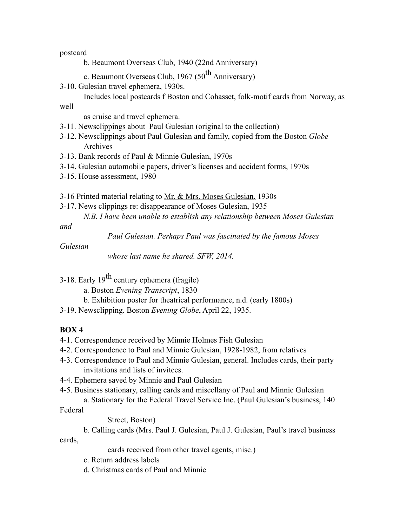postcard

- b. Beaumont Overseas Club, 1940 (22nd Anniversary)
- c. Beaumont Overseas Club, 1967 ( $50<sup>th</sup>$  Anniversary)
- 3-10. Gulesian travel ephemera, 1930s.
- Includes local postcards f Boston and Cohasset, folk-motif cards from Norway, as well

as cruise and travel ephemera.

- 3-11. Newsclippings about Paul Gulesian (original to the collection)
- 3-12. Newsclippings about Paul Gulesian and family, copied from the Boston *Globe* Archives
- 3-13. Bank records of Paul & Minnie Gulesian, 1970s
- 3-14. Gulesian automobile papers, driver's licenses and accident forms, 1970s
- 3-15. House assessment, 1980
- 3-16 Printed material relating to <u>Mr. & Mrs. Moses Gulesian</u>, 1930s
- 3-17. News clippings re: disappearance of Moses Gulesian, 1935
	- *N.B. I have been unable to establish any relationship between Moses Gulesian*

*and*

*Paul Gulesian. Perhaps Paul was fascinated by the famous Moses* 

#### *Gulesian*

*whose last name he shared. SFW, 2014.*

- 3-18. Early  $19^{th}$  century ephemera (fragile)
	- a. Boston *Evening Transcript*, 1830
	- b. Exhibition poster for theatrical performance, n.d. (early 1800s)

3-19. Newsclipping. Boston *Evening Globe*, April 22, 1935.

## **BOX 4**

- 4-1. Correspondence received by Minnie Holmes Fish Gulesian
- 4-2. Correspondence to Paul and Minnie Gulesian, 1928-1982, from relatives
- 4-3. Correspondence to Paul and Minnie Gulesian, general. Includes cards, their party invitations and lists of invitees.
- 4-4. Ephemera saved by Minnie and Paul Gulesian
- 4-5. Business stationary, calling cards and miscellany of Paul and Minnie Gulesian

a. Stationary for the Federal Travel Service Inc. (Paul Gulesian's business, 140 Federal

Street, Boston)

b. Calling cards (Mrs. Paul J. Gulesian, Paul J. Gulesian, Paul's travel business cards,

cards received from other travel agents, misc.)

- c. Return address labels
- d. Christmas cards of Paul and Minnie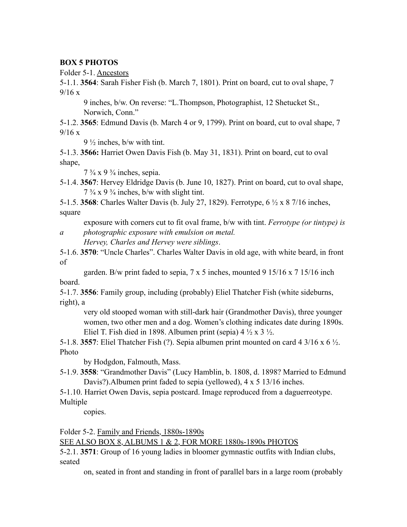## **BOX 5 PHOTOS**

Folder 5-1. Ancestors

5-1.1. **3564**: Sarah Fisher Fish (b. March 7, 1801). Print on board, cut to oval shape, 7  $9/16 x$ 

9 inches, b/w. On reverse: "L.Thompson, Photographist, 12 Shetucket St., Norwich, Conn."

5-1.2. **3565**: Edmund Davis (b. March 4 or 9, 1799). Print on board, cut to oval shape, 7 9/16 x

 $9\frac{1}{2}$  inches, b/w with tint.

5-1.3. **3566:** Harriet Owen Davis Fish (b. May 31, 1831). Print on board, cut to oval shape,

 $7\frac{3}{4}$  x 9 $\frac{3}{4}$  inches, sepia.

5-1.4. **3567**: Hervey Eldridge Davis (b. June 10, 1827). Print on board, cut to oval shape,  $7\frac{3}{4}$  x 9 $\frac{3}{4}$  inches, b/w with slight tint.

5-1.5. **3568**: Charles Walter Davis (b. July 27, 1829). Ferrotype, 6 ½ x 8 7/16 inches, square

exposure with corners cut to fit oval frame, b/w with tint. *Ferrotype (or tintype) is* 

*a photographic exposure with emulsion on metal. Hervey, Charles and Hervey were siblings*.

5-1.6. **3570**: "Uncle Charles". Charles Walter Davis in old age, with white beard, in front of

garden. B/w print faded to sepia,  $7 \times 5$  inches, mounted  $9 \frac{15}{16} \times 7 \frac{15}{16}$  inch board.

5-1.7. **3556**: Family group, including (probably) Eliel Thatcher Fish (white sideburns, right), a

very old stooped woman with still-dark hair (Grandmother Davis), three younger women, two other men and a dog. Women's clothing indicates date during 1890s. Eliel T. Fish died in 1898. Albumen print (sepia)  $4\frac{1}{2} \times 3\frac{1}{2}$ .

5-1.8. **3557**: Eliel Thatcher Fish (?). Sepia albumen print mounted on card 4 3/16 x 6 ½. Photo

by Hodgdon, Falmouth, Mass.

5-1.9. **3558**: "Grandmother Davis" (Lucy Hamblin, b. 1808, d. 1898? Married to Edmund Davis?).Albumen print faded to sepia (yellowed), 4 x 5 13/16 inches.

5-1.10. Harriet Owen Davis, sepia postcard. Image reproduced from a daguerreotype. Multiple

copies.

Folder 5-2. Family and Friends, 1880s-1890s

SEE ALSO BOX 8, ALBUMS 1 & 2, FOR MORE 1880s-1890s PHOTOS

5-2.1. **3571**: Group of 16 young ladies in bloomer gymnastic outfits with Indian clubs, seated

on, seated in front and standing in front of parallel bars in a large room (probably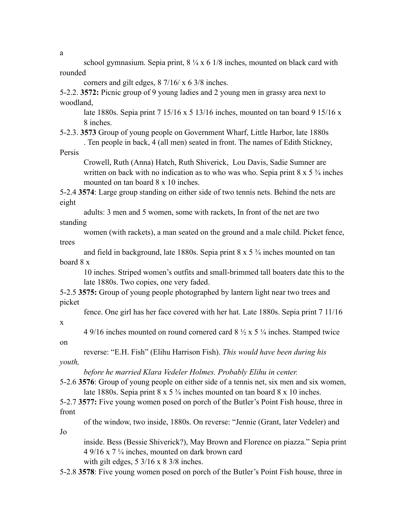school gymnasium. Sepia print,  $8\frac{1}{4} \times 6$  1/8 inches, mounted on black card with rounded

corners and gilt edges, 8 7/16/ x 6 3/8 inches.

5-2.2. **3572:** Picnic group of 9 young ladies and 2 young men in grassy area next to woodland,

late 1880s. Sepia print 7 15/16 x 5 13/16 inches, mounted on tan board 9 15/16 x 8 inches.

5-2.3. **3573** Group of young people on Government Wharf, Little Harbor, late 1880s . Ten people in back, 4 (all men) seated in front. The names of Edith Stickney,

Persis

Crowell, Ruth (Anna) Hatch, Ruth Shiverick, Lou Davis, Sadie Sumner are written on back with no indication as to who was who. Sepia print  $8 \times 5 \frac{3}{4}$  inches mounted on tan board 8 x 10 inches.

5-2.4 **3574**: Large group standing on either side of two tennis nets. Behind the nets are eight

adults: 3 men and 5 women, some with rackets, In front of the net are two standing

women (with rackets), a man seated on the ground and a male child. Picket fence, trees

and field in background, late 1880s. Sepia print 8 x 5 ¾ inches mounted on tan board 8 x

10 inches. Striped women's outfits and small-brimmed tall boaters date this to the late 1880s. Two copies, one very faded.

5-2.5 **3575:** Group of young people photographed by lantern light near two trees and picket

fence. One girl has her face covered with her hat. Late 1880s. Sepia print 7 11/16

x

on

Jo

4 9/16 inches mounted on round cornered card  $8\frac{1}{2} \times 5\frac{1}{4}$  inches. Stamped twice

reverse: "E.H. Fish" (Elihu Harrison Fish). *This would have been during his youth,*

*before he married Klara Vedeler Holmes. Probably Elihu in center.*

5-2.6 **3576**: Group of young people on either side of a tennis net, six men and six women, late 1880s. Sepia print 8 x 5 <sup>3</sup>/<sub>4</sub> inches mounted on tan board 8 x 10 inches.

5-2.7 **3577:** Five young women posed on porch of the Butler's Point Fish house, three in front

of the window, two inside, 1880s. On reverse: "Jennie (Grant, later Vedeler) and

inside. Bess (Bessie Shiverick?), May Brown and Florence on piazza." Sepia print 4 9/16 x 7  $\frac{1}{4}$  inches, mounted on dark brown card with gilt edges,  $5 \frac{3}{16} \times 8 \frac{3}{8}$  inches.

5-2.8 **3578**: Five young women posed on porch of the Butler's Point Fish house, three in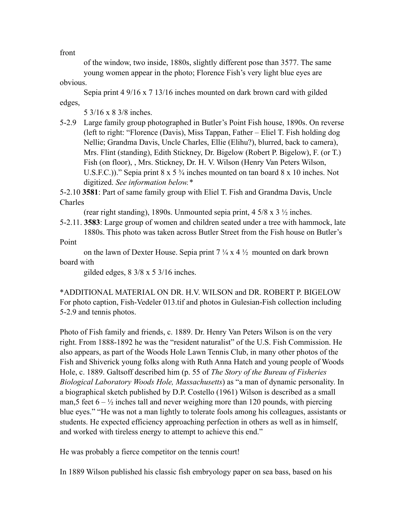front

of the window, two inside, 1880s, slightly different pose than 3577. The same young women appear in the photo; Florence Fish's very light blue eyes are

obvious.

Sepia print 4 9/16 x 7 13/16 inches mounted on dark brown card with gilded edges,

5 3/16 x 8 3/8 inches.

5-2.9 Large family group photographed in Butler's Point Fish house, 1890s. On reverse (left to right: "Florence (Davis), Miss Tappan, Father – Eliel T. Fish holding dog Nellie; Grandma Davis, Uncle Charles, Ellie (Elihu?), blurred, back to camera), Mrs. Flint (standing), Edith Stickney, Dr. Bigelow (Robert P. Bigelow), F. (or T.) Fish (on floor), , Mrs. Stickney, Dr. H. V. Wilson (Henry Van Peters Wilson, U.S.F.C.))." Sepia print 8 x 5  $\frac{3}{4}$  inches mounted on tan board 8 x 10 inches. Not digitized. *See information below.\**

5-2.10 **3581**: Part of same family group with Eliel T. Fish and Grandma Davis, Uncle Charles

(rear right standing), 1890s. Unmounted sepia print,  $4\frac{5}{8} \times 3\frac{1}{2}$  inches.

5-2.11. **3583**: Large group of women and children seated under a tree with hammock, late 1880s. This photo was taken across Butler Street from the Fish house on Butler's Point

on the lawn of Dexter House. Sepia print  $7\frac{1}{4} \times 4\frac{1}{2}$  mounted on dark brown board with

gilded edges, 8 3/8 x 5 3/16 inches.

\*ADDITIONAL MATERIAL ON DR. H.V. WILSON and DR. ROBERT P. BIGELOW For photo caption, Fish-Vedeler 013.tif and photos in Gulesian-Fish collection including 5-2.9 and tennis photos.

Photo of Fish family and friends, c. 1889. Dr. Henry Van Peters Wilson is on the very right. From 1888-1892 he was the "resident naturalist" of the U.S. Fish Commission. He also appears, as part of the Woods Hole Lawn Tennis Club, in many other photos of the Fish and Shiverick young folks along with Ruth Anna Hatch and young people of Woods Hole, c. 1889. Galtsoff described him (p. 55 of *The Story of the Bureau of Fisheries Biological Laboratory Woods Hole, Massachusetts*) as "a man of dynamic personality. In a biographical sketch published by D.P. Costello (1961) Wilson is described as a small man,5 feet  $6 - \frac{1}{2}$  inches tall and never weighing more than 120 pounds, with piercing blue eyes." "He was not a man lightly to tolerate fools among his colleagues, assistants or students. He expected efficiency approaching perfection in others as well as in himself, and worked with tireless energy to attempt to achieve this end."

He was probably a fierce competitor on the tennis court!

In 1889 Wilson published his classic fish embryology paper on sea bass, based on his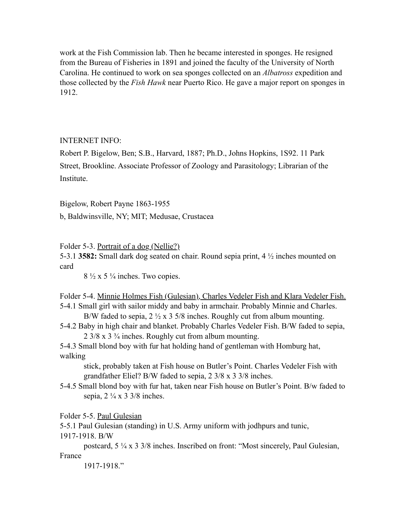work at the Fish Commission lab. Then he became interested in sponges. He resigned from the Bureau of Fisheries in 1891 and joined the faculty of the University of North Carolina. He continued to work on sea sponges collected on an *Albatross* expedition and those collected by the *Fish Hawk* near Puerto Rico. He gave a major report on sponges in 1912.

## INTERNET INFO:

Robert P. Bigelow, Ben; S.B., Harvard, 1887; Ph.D., Johns Hopkins, 1S92. 11 Park Street, Brookline. Associate Professor of Zoology and Parasitology; Librarian of the Institute.

Bigelow, Robert Payne 1863-1955

b, Baldwinsville, NY; MIT; Medusae, Crustacea

Folder 5-3. Portrait of a dog (Nellie?)

5-3.1 **3582:** Small dark dog seated on chair. Round sepia print, 4 ½ inches mounted on card

 $8\frac{1}{2}$  x 5  $\frac{1}{4}$  inches. Two copies.

Folder 5-4. Minnie Holmes Fish (Gulesian), Charles Vedeler Fish and Klara Vedeler Fish. 5-4.1 Small girl with sailor middy and baby in armchair. Probably Minnie and Charles.

B/W faded to sepia,  $2\frac{1}{2} \times 35/8$  inches. Roughly cut from album mounting. 5-4.2 Baby in high chair and blanket. Probably Charles Vedeler Fish. B/W faded to sepia, 2 3/8 x 3 ¾ inches. Roughly cut from album mounting.

5-4.3 Small blond boy with fur hat holding hand of gentleman with Homburg hat, walking

stick, probably taken at Fish house on Butler's Point. Charles Vedeler Fish with grandfather Eliel? B/W faded to sepia, 2 3/8 x 3 3/8 inches.

5-4.5 Small blond boy with fur hat, taken near Fish house on Butler's Point. B/w faded to sepia,  $2 \frac{1}{4} \times 3 \frac{3}{8}$  inches.

Folder 5-5. Paul Gulesian

5-5.1 Paul Gulesian (standing) in U.S. Army uniform with jodhpurs and tunic, 1917-1918. B/W

postcard, 5 ¼ x 3 3/8 inches. Inscribed on front: "Most sincerely, Paul Gulesian, France

1917-1918."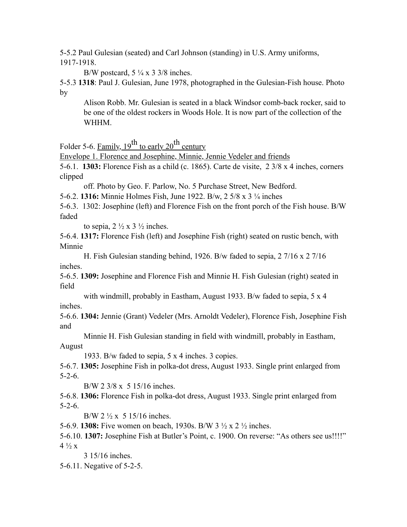5-5.2 Paul Gulesian (seated) and Carl Johnson (standing) in U.S. Army uniforms, 1917-1918.

B/W postcard,  $5\frac{1}{4} \times 3\frac{3}{8}$  inches.

5-5.3 **1318**: Paul J. Gulesian, June 1978, photographed in the Gulesian-Fish house. Photo by

Alison Robb. Mr. Gulesian is seated in a black Windsor comb-back rocker, said to be one of the oldest rockers in Woods Hole. It is now part of the collection of the WHHM.

Folder 5-6. Family,  $19^{th}$  to early  $20^{th}$  century

Envelope 1. Florence and Josephine, Minnie, Jennie Vedeler and friends

5-6.1. **1303:** Florence Fish as a child (c. 1865). Carte de visite, 2 3/8 x 4 inches, corners clipped

off. Photo by Geo. F. Parlow, No. 5 Purchase Street, New Bedford.

5-6.2. **1316:** Minnie Holmes Fish, June 1922. B/w, 2 5/8 x 3 ¼ inches

5-6.3. 1302: Josephine (left) and Florence Fish on the front porch of the Fish house. B/W faded

to sepia,  $2 \frac{1}{2} \times 3 \frac{1}{2}$  inches.

5-6.4. **1317:** Florence Fish (left) and Josephine Fish (right) seated on rustic bench, with Minnie

H. Fish Gulesian standing behind, 1926. B/w faded to sepia, 2 7/16 x 2 7/16 inches.

5-6.5. **1309:** Josephine and Florence Fish and Minnie H. Fish Gulesian (right) seated in field

with windmill, probably in Eastham, August 1933. B/w faded to sepia, 5 x 4 inches.

5-6.6. **1304:** Jennie (Grant) Vedeler (Mrs. Arnoldt Vedeler), Florence Fish, Josephine Fish and

Minnie H. Fish Gulesian standing in field with windmill, probably in Eastham, August

1933. B/w faded to sepia, 5 x 4 inches. 3 copies.

5-6.7. **1305:** Josephine Fish in polka-dot dress, August 1933. Single print enlarged from 5-2-6.

B/W 2 3/8 x 5 15/16 inches.

5-6.8. **1306:** Florence Fish in polka-dot dress, August 1933. Single print enlarged from 5-2-6.

 $B/W 2 \frac{1}{2}x 5 15/16$  inches.

5-6.9. **1308:** Five women on beach, 1930s. B/W 3 ½ x 2 ½ inches.

5-6.10. **1307:** Josephine Fish at Butler's Point, c. 1900. On reverse: "As others see us!!!!"  $4\frac{1}{2}x$ 

3 15/16 inches.

5-6.11. Negative of 5-2-5.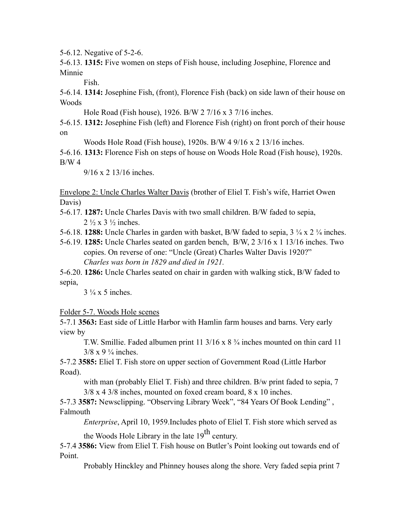5-6.12. Negative of 5-2-6.

5-6.13. **1315:** Five women on steps of Fish house, including Josephine, Florence and Minnie

Fish.

5-6.14. **1314:** Josephine Fish, (front), Florence Fish (back) on side lawn of their house on Woods

Hole Road (Fish house), 1926. B/W 2 7/16 x 3 7/16 inches.

5-6.15. **1312:** Josephine Fish (left) and Florence Fish (right) on front porch of their house on

Woods Hole Road (Fish house), 1920s. B/W 4 9/16 x 2 13/16 inches.

5-6.16. **1313:** Florence Fish on steps of house on Woods Hole Road (Fish house), 1920s.  $B/W<sub>4</sub>$ 

9/16 x 2 13/16 inches.

Envelope 2: Uncle Charles Walter Davis (brother of Eliel T. Fish's wife, Harriet Owen Davis)

5-6.17. **1287:** Uncle Charles Davis with two small children. B/W faded to sepia,  $2 \frac{1}{2}$  x 3  $\frac{1}{2}$  inches.

5-6.18. **1288:** Uncle Charles in garden with basket, B/W faded to sepia, 3 ¼ x 2 ¼ inches.

5-6.19. **1285:** Uncle Charles seated on garden bench, B/W, 2 3/16 x 1 13/16 inches. Two copies. On reverse of one: "Uncle (Great) Charles Walter Davis 1920?" *Charles was born in 1829 and died in 1921.*

5-6.20. **1286:** Uncle Charles seated on chair in garden with walking stick, B/W faded to sepia,

 $3\frac{1}{4}$  x 5 inches.

Folder 5-7. Woods Hole scenes

5-7.1 **3563:** East side of Little Harbor with Hamlin farm houses and barns. Very early view by

T.W. Smillie. Faded albumen print 11 3/16 x 8 ¾ inches mounted on thin card 11  $3/8 \times 9 \frac{1}{4}$  inches.

5-7.2 **3585:** Eliel T. Fish store on upper section of Government Road (Little Harbor Road).

with man (probably Eliel T. Fish) and three children. B/w print faded to sepia, 7 3/8 x 4 3/8 inches, mounted on foxed cream board, 8 x 10 inches.

5-7.3 **3587:** Newsclipping. "Observing Library Week", "84 Years Of Book Lending" , Falmouth

*Enterprise*, April 10, 1959.Includes photo of Eliel T. Fish store which served as

the Woods Hole Library in the late  $19<sup>th</sup>$  century.

5-7.4 **3586:** View from Eliel T. Fish house on Butler's Point looking out towards end of Point.

Probably Hinckley and Phinney houses along the shore. Very faded sepia print 7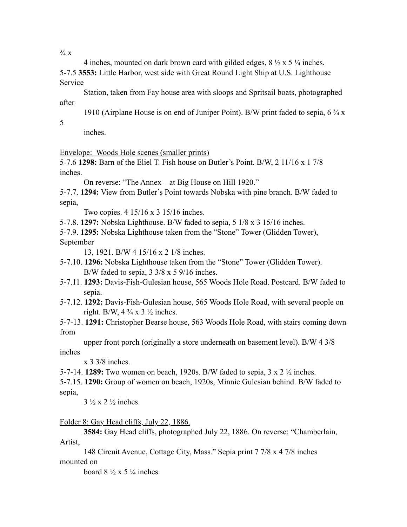$\frac{3}{4}$  X

4 inches, mounted on dark brown card with gilded edges,  $8\frac{1}{2} \times 5\frac{1}{4}$  inches. 5-7.5 **3553:** Little Harbor, west side with Great Round Light Ship at U.S. Lighthouse Service

Station, taken from Fay house area with sloops and Spritsail boats, photographed after

1910 (Airplane House is on end of Juniper Point). B/W print faded to sepia, 6 ¾ x

5

inches.

Envelope: Woods Hole scenes (smaller prints)

5-7.6 **1298:** Barn of the Eliel T. Fish house on Butler's Point. B/W, 2 11/16 x 1 7/8 inches.

On reverse: "The Annex – at Big House on Hill 1920."

5-7.7. **1294:** View from Butler's Point towards Nobska with pine branch. B/W faded to sepia,

Two copies. 4 15/16 x 3 15/16 inches.

5-7.8. **1297:** Nobska Lighthouse. B/W faded to sepia, 5 1/8 x 3 15/16 inches.

5-7.9. **1295:** Nobska Lighthouse taken from the "Stone" Tower (Glidden Tower), September

13, 1921. B/W 4 15/16 x 2 1/8 inches.

5-7.10. **1296:** Nobska Lighthouse taken from the "Stone" Tower (Glidden Tower). B/W faded to sepia,  $3 \frac{3}{8} \times 5 \frac{9}{16}$  inches.

- 5-7.11. **1293:** Davis-Fish-Gulesian house, 565 Woods Hole Road. Postcard. B/W faded to sepia.
- 5-7.12. **1292:** Davis-Fish-Gulesian house, 565 Woods Hole Road, with several people on right. B/W,  $4\frac{3}{4} \times 3\frac{1}{2}$  inches.

5-7-13. **1291:** Christopher Bearse house, 563 Woods Hole Road, with stairs coming down from

upper front porch (originally a store underneath on basement level). B/W 4 3/8 inches

x 3 3/8 inches.

5-7-14. **1289:** Two women on beach, 1920s. B/W faded to sepia, 3 x 2 ½ inches.

5-7.15. **1290:** Group of women on beach, 1920s, Minnie Gulesian behind. B/W faded to sepia,

 $3\frac{1}{2} \times 2\frac{1}{2}$  inches.

Folder 8: Gay Head cliffs, July 22, 1886.

**3584:** Gay Head cliffs, photographed July 22, 1886. On reverse: "Chamberlain, Artist,

148 Circuit Avenue, Cottage City, Mass." Sepia print 7 7/8 x 4 7/8 inches mounted on

board  $8\frac{1}{2} \times 5\frac{1}{4}$  inches.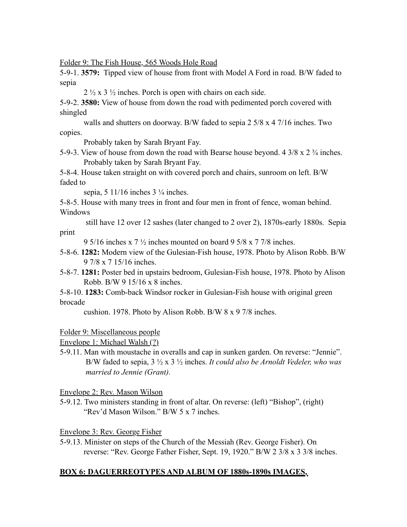Folder 9: The Fish House, 565 Woods Hole Road

5-9-1. **3579:** Tipped view of house from front with Model A Ford in road. B/W faded to sepia

 $2\frac{1}{2}$  x 3  $\frac{1}{2}$  inches. Porch is open with chairs on each side.

5-9-2. **3580:** View of house from down the road with pedimented porch covered with shingled

walls and shutters on doorway. B/W faded to sepia 2 5/8 x 4 7/16 inches. Two copies.

Probably taken by Sarah Bryant Fay.

5-9-3. View of house from down the road with Bearse house beyond. 4  $3/8 \times 2 \frac{3}{4}$  inches. Probably taken by Sarah Bryant Fay.

5-8-4. House taken straight on with covered porch and chairs, sunroom on left. B/W faded to

sepia,  $5 \frac{11}{16}$  inches  $3 \frac{1}{4}$  inches.

5-8-5. House with many trees in front and four men in front of fence, woman behind. Windows

 still have 12 over 12 sashes (later changed to 2 over 2), 1870s-early 1880s. Sepia print

9 5/16 inches x 7 ½ inches mounted on board 9 5/8 x 7 7/8 inches.

- 5-8-6. **1282:** Modern view of the Gulesian-Fish house, 1978. Photo by Alison Robb. B/W 9 7/8 x 7 15/16 inches.
- 5-8-7. **1281:** Poster bed in upstairs bedroom, Gulesian-Fish house, 1978. Photo by Alison Robb. B/W 9 15/16 x 8 inches.
- 5-8-10. **1283:** Comb-back Windsor rocker in Gulesian-Fish house with original green brocade

cushion. 1978. Photo by Alison Robb. B/W 8 x 9 7/8 inches.

## Folder 9: Miscellaneous people

Envelope 1: Michael Walsh (?)

5-9.11. Man with moustache in overalls and cap in sunken garden. On reverse: "Jennie". B/W faded to sepia, 3 ½ x 3 ½ inches. *It could also be Arnoldt Vedeler, who was married to Jennie (Grant).*

Envelope 2: Rev. Mason Wilson

5-9.12. Two ministers standing in front of altar. On reverse: (left) "Bishop", (right) "Rev'd Mason Wilson." B/W 5 x 7 inches.

Envelope 3: Rev. George Fisher

5-9.13. Minister on steps of the Church of the Messiah (Rev. George Fisher). On reverse: "Rev. George Father Fisher, Sept. 19, 1920." B/W 2 3/8 x 3 3/8 inches.

# **BOX 6: DAGUERREOTYPES AND ALBUM OF 1880s-1890s IMAGES,**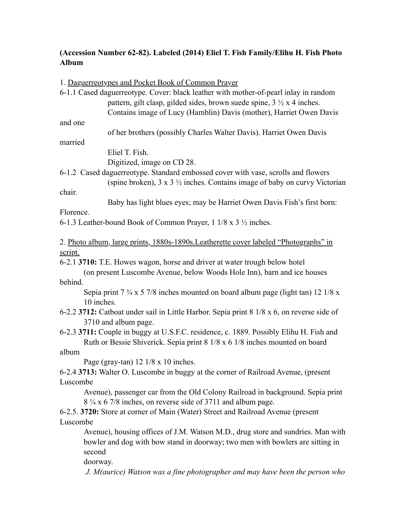# **(Accession Number 62-82). Labeled (2014) Eliel T. Fish Family/Elihu H. Fish Photo Album**

1. Daguerreotypes and Pocket Book of Common Prayer

|                                                                                            | 6-1.1 Cased daguerreotype. Cover: black leather with mother-of-pearl inlay in random                   |
|--------------------------------------------------------------------------------------------|--------------------------------------------------------------------------------------------------------|
|                                                                                            | pattern, gilt clasp, gilded sides, brown suede spine, $3 \frac{1}{2} x 4$ inches.                      |
|                                                                                            | Contains image of Lucy (Hamblin) Davis (mother), Harriet Owen Davis                                    |
| and one                                                                                    |                                                                                                        |
|                                                                                            | of her brothers (possibly Charles Walter Davis). Harriet Owen Davis                                    |
| married                                                                                    |                                                                                                        |
|                                                                                            | Eliel T. Fish.                                                                                         |
|                                                                                            | Digitized, image on CD 28.                                                                             |
|                                                                                            | 6-1.2 Cased daguerreotype. Standard embossed cover with vase, scrolls and flowers                      |
|                                                                                            | (spine broken), $3 \times 3 \frac{1}{2}$ inches. Contains image of baby on curvy Victorian             |
| chair.                                                                                     |                                                                                                        |
|                                                                                            | Baby has light blues eyes; may be Harriet Owen Davis Fish's first born:                                |
| Florence.                                                                                  |                                                                                                        |
|                                                                                            | 6-1.3 Leather-bound Book of Common Prayer, 1 1/8 x 3 1/2 inches.                                       |
|                                                                                            |                                                                                                        |
|                                                                                            | 2. Photo album, large prints, 1880s-1890s. Leatherette cover labeled "Photographs" in                  |
| script.                                                                                    |                                                                                                        |
|                                                                                            | 6-2.1 3710: T.E. Howes wagon, horse and driver at water trough below hotel                             |
|                                                                                            | (on present Luscombe Avenue, below Woods Hole Inn), barn and ice houses                                |
| behind.                                                                                    |                                                                                                        |
|                                                                                            | Sepia print $7\frac{3}{4} \times 5\frac{7}{8}$ inches mounted on board album page (light tan) 12 1/8 x |
| 10 inches.                                                                                 |                                                                                                        |
| 6-2.2 3712: Catboat under sail in Little Harbor. Sepia print 8 1/8 x 6, on reverse side of |                                                                                                        |
|                                                                                            | 3710 and album page.                                                                                   |
| 6-2.3 3711: Couple in buggy at U.S.F.C. residence, c. 1889. Possibly Elihu H. Fish and     |                                                                                                        |
| Ruth or Bessie Shiverick. Sepia print 8 1/8 x 6 1/8 inches mounted on board                |                                                                                                        |
| album                                                                                      |                                                                                                        |
|                                                                                            | Page (gray-tan) $12 \frac{1}{8} \times 10$ inches.                                                     |
| 6-2.4 3713: Walter O. Luscombe in buggy at the corner of Railroad Avenue, (present         |                                                                                                        |
| Luscombe                                                                                   |                                                                                                        |
|                                                                                            | Avenue), passenger car from the Old Colony Railroad in background. Sepia print                         |
|                                                                                            | 8 ¼ x 6 7/8 inches, on reverse side of 3711 and album page.                                            |
|                                                                                            | 6-2.5. 3720: Store at corner of Main (Water) Street and Railroad Avenue (present                       |
| Luscombe                                                                                   |                                                                                                        |
|                                                                                            | Avenue), housing offices of J.M. Watson M.D., drug store and sundries. Man with                        |
| second                                                                                     | bowler and dog with bow stand in doorway; two men with bowlers are sitting in                          |
| doorway.                                                                                   |                                                                                                        |
|                                                                                            | J. M(aurice) Watson was a fine photographer and may have been the person who                           |
|                                                                                            |                                                                                                        |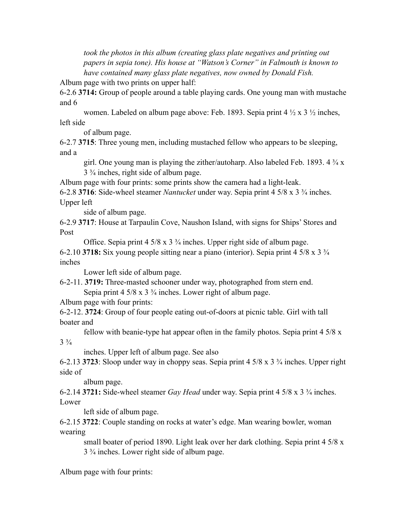took the photos in this album (creating glass plate negatives and printing out *papers in sepia tone). His house at "Watson's Corner" in Falmouth is known to have contained many glass plate negatives, now owned by Donald Fish.*

Album page with two prints on upper half:

6-2.6 **3714:** Group of people around a table playing cards. One young man with mustache and 6

women. Labeled on album page above: Feb. 1893. Sepia print 4 ½ x 3 ½ inches, left side

of album page.

6-2.7 **3715**: Three young men, including mustached fellow who appears to be sleeping, and a

girl. One young man is playing the zither/autoharp. Also labeled Feb. 1893. 4 ¾ x 3 ¾ inches, right side of album page.

Album page with four prints: some prints show the camera had a light-leak.

6-2.8 **3716**: Side-wheel steamer *Nantucket* under way. Sepia print 4 5/8 x 3 ¾ inches. Upper left

side of album page.

6-2.9 **3717**: House at Tarpaulin Cove, Naushon Island, with signs for Ships' Stores and Post

Office. Sepia print 4 5/8 x 3 ¾ inches. Upper right side of album page.

6-2.10 **3718:** Six young people sitting near a piano (interior). Sepia print 4 5/8 x 3 ¾ inches

Lower left side of album page.

6-2-11. **3719:** Three-masted schooner under way, photographed from stern end. Sepia print 4 5/8 x 3 <sup>3</sup>/<sub>4</sub> inches. Lower right of album page.

Album page with four prints:

6-2-12. **3724**: Group of four people eating out-of-doors at picnic table. Girl with tall boater and

fellow with beanie-type hat appear often in the family photos. Sepia print 4 5/8 x  $3\frac{3}{4}$ 

inches. Upper left of album page. See also

6-2.13 **3723**: Sloop under way in choppy seas. Sepia print 4 5/8 x 3 ¾ inches. Upper right side of

album page.

6-2.14 **3721:** Side-wheel steamer *Gay Head* under way. Sepia print 4 5/8 x 3 ¾ inches. Lower

left side of album page.

6-2.15 **3722**: Couple standing on rocks at water's edge. Man wearing bowler, woman wearing

small boater of period 1890. Light leak over her dark clothing. Sepia print 4 5/8 x 3 ¾ inches. Lower right side of album page.

Album page with four prints: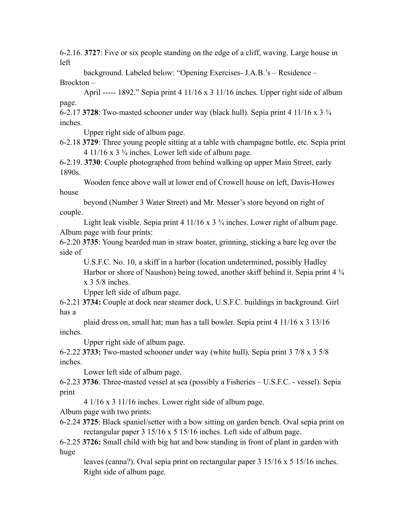6-2.16. **3727**: Five or six people standing on the edge of a cliff, waving. Large house in left

background. Labeled below: "Opening Exercises- J.A.B.'s – Residence – Brockton –

April ----- 1892." Sepia print  $4 \frac{11}{16} \times 3 \frac{11}{16}$  inches. Upper right side of album page.

6-2.17 **3728**: Two-masted schooner under way (black hull). Sepia print 4 11/16 x 3 ¾ inches.

Upper right side of album page.

6-2.18 **3729**: Three young people sitting at a table with champagne bottle, etc. Sepia print  $4 \frac{11}{16}$  x  $3 \frac{3}{4}$  inches. Lower left side of album page.

6-2.19. **3730**: Couple photographed from behind walking up upper Main Street, early 1890s.

Wooden fence above wall at lower end of Crowell house on left, Davis-Howes house

beyond (Number 3 Water Street) and Mr. Messer's store beyond on right of couple.

Light leak visible. Sepia print 4 11/16 x 3 <sup>3</sup>/<sub>4</sub> inches. Lower right of album page. Album page with four prints:

6-2.20 **3735**: Young bearded man in straw boater, grinning, sticking a bare leg over the side of

U.S.F.C. No. 10, a skiff in a harbor (location undetermined, possibly Hadley Harbor or shore of Naushon) being towed, another skiff behind it. Sepia print 4  $\frac{3}{4}$ x 3 5/8 inches.

Upper left side of album page.

6-2.21 **3734:** Couple at dock near steamer dock, U.S.F.C. buildings in background. Girl has a

plaid dress on, small hat; man has a tall bowler. Sepia print 4 11/16 x 3 13/16 inches.

Upper right side of album page.

6-2.22 **3733:** Two-masted schooner under way (white hull). Sepia print 3 7/8 x 3 5/8 inches.

Lower left side of album page.

6-2.23 **3736**: Three-masted vessel at sea (possibly a Fisheries – U.S.F.C. - vessel). Sepia print

4 1/16 x 3 11/16 inches. Lower right side of album page.

Album page with two prints:

6-2.24 **3725**: Black spaniel/setter with a bow sitting on garden bench. Oval sepia print on rectangular paper 3 15/16 x 5 15/16 inches. Left side of album page.

6-2.25 **3726:** Small child with big hat and bow standing in front of plant in garden with huge

leaves (canna?). Oval sepia print on rectangular paper  $3\frac{15}{16} \times 5\frac{15}{16}$  inches. Right side of album page.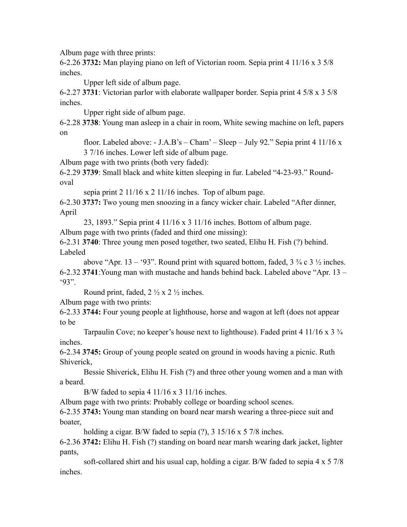Album page with three prints:

6-2.26 **3732:** Man playing piano on left of Victorian room. Sepia print 4 11/16 x 3 5/8 inches.

Upper left side of album page.

6-2.27 **3731**: Victorian parlor with elaborate wallpaper border. Sepia print 4 5/8 x 3 5/8 inches.

Upper right side of album page.

6-2.28 **3738**: Young man asleep in a chair in room, White sewing machine on left, papers on

floor. Labeled above:  $-$  J.A.B's – Cham' – Sleep – July 92." Sepia print 4 11/16 x 3 7/16 inches. Lower left side of album page.

Album page with two prints (both very faded):

6-2.29 **3739**: Small black and white kitten sleeping in fur. Labeled "4-23-93." Roundoval

sepia print 2 11/16 x 2 11/16 inches. Top of album page.

6-2.30 **3737:** Two young men snoozing in a fancy wicker chair. Labeled "After dinner, April

23, 1893." Sepia print 4 11/16 x 3 11/16 inches. Bottom of album page.

Album page with two prints (faded and third one missing):

6-2.31 **3740**: Three young men posed together, two seated, Elihu H. Fish (?) behind. Labeled

above "Apr. 13 – '93". Round print with squared bottom, faded,  $3\frac{3}{4}$  c  $3\frac{1}{2}$  inches. 6-2.32 **3741**:Young man with mustache and hands behind back. Labeled above "Apr. 13 – '93".

Round print, faded,  $2 \frac{1}{2} \times 2 \frac{1}{2}$  inches.

Album page with two prints:

6-2.33 **3744:** Four young people at lighthouse, horse and wagon at left (does not appear to be

Tarpaulin Cove; no keeper's house next to lighthouse). Faded print 4 11/16 x 3  $\frac{3}{4}$ inches.

6-2.34 **3745:** Group of young people seated on ground in woods having a picnic. Ruth Shiverick,

Bessie Shiverick, Elihu H. Fish (?) and three other young women and a man with a beard.

B/W faded to sepia 4  $11/16 \times 3 \cdot 11/16$  inches.

Album page with two prints: Probably college or boarding school scenes.

6-2.35 **3743:** Young man standing on board near marsh wearing a three-piece suit and boater,

holding a cigar. B/W faded to sepia (?), 3 15/16 x 5 7/8 inches.

6-2.36 **3742:** Elihu H. Fish (?) standing on board near marsh wearing dark jacket, lighter pants,

soft-collared shirt and his usual cap, holding a cigar. B/W faded to sepia 4 x 5 7/8 inches.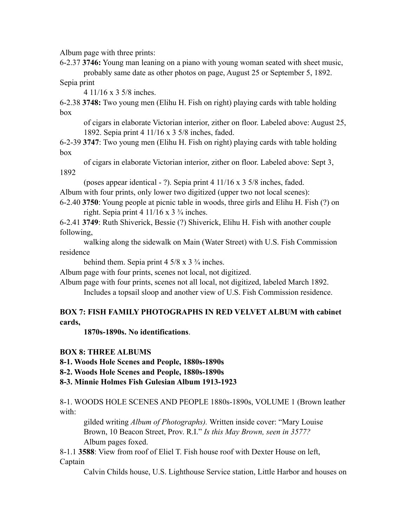Album page with three prints:

6-2.37 **3746:** Young man leaning on a piano with young woman seated with sheet music, probably same date as other photos on page, August 25 or September 5, 1892.

Sepia print

4 11/16 x 3 5/8 inches.

6-2.38 **3748:** Two young men (Elihu H. Fish on right) playing cards with table holding box

of cigars in elaborate Victorian interior, zither on floor. Labeled above: August 25, 1892. Sepia print 4 11/16 x 3 5/8 inches, faded.

6-2-39 **3747**: Two young men (Elihu H. Fish on right) playing cards with table holding box

of cigars in elaborate Victorian interior, zither on floor. Labeled above: Sept 3, 1892

(poses appear identical - ?). Sepia print 4 11/16 x 3 5/8 inches, faded. Album with four prints, only lower two digitized (upper two not local scenes):

6-2.40 **3750**: Young people at picnic table in woods, three girls and Elihu H. Fish (?) on right. Sepia print 4  $11/16 \times 3\frac{3}{4}$  inches.

6-2.41 **3749**: Ruth Shiverick, Bessie (?) Shiverick, Elihu H. Fish with another couple following,

walking along the sidewalk on Main (Water Street) with U.S. Fish Commission residence

behind them. Sepia print  $4\frac{5}{8} \times 3\frac{3}{4}$  inches.

Album page with four prints, scenes not local, not digitized.

Album page with four prints, scenes not all local, not digitized, labeled March 1892.

Includes a topsail sloop and another view of U.S. Fish Commission residence.

## **BOX 7: FISH FAMILY PHOTOGRAPHS IN RED VELVET ALBUM with cabinet cards,**

**1870s-1890s. No identifications**.

## **BOX 8: THREE ALBUMS**

**8-1. Woods Hole Scenes and People, 1880s-1890s**

**8-2. Woods Hole Scenes and People, 1880s-1890s**

**8-3. Minnie Holmes Fish Gulesian Album 1913-1923**

8-1. WOODS HOLE SCENES AND PEOPLE 1880s-1890s, VOLUME 1 (Brown leather with:

gilded writing *Album of Photographs).* Written inside cover: "Mary Louise Brown, 10 Beacon Street, Prov. R.I." *Is this May Brown, seen in 3577?* Album pages foxed.

8-1.1 **3588**: View from roof of Eliel T. Fish house roof with Dexter House on left, Captain

Calvin Childs house, U.S. Lighthouse Service station, Little Harbor and houses on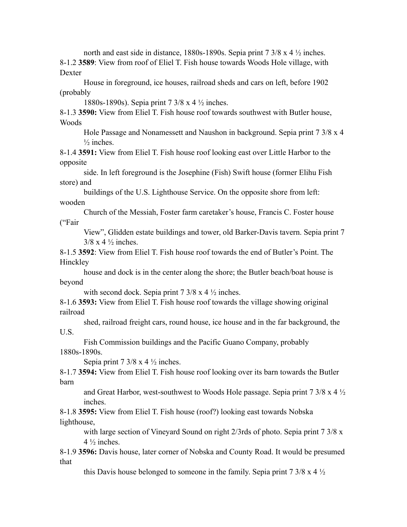north and east side in distance, 1880s-1890s. Sepia print 7 3/8 x 4  $\frac{1}{2}$  inches. 8-1.2 **3589**: View from roof of Eliel T. Fish house towards Woods Hole village, with Dexter

House in foreground, ice houses, railroad sheds and cars on left, before 1902 (probably

1880s-1890s). Sepia print 7 3/8 x 4 ½ inches.

8-1.3 **3590:** View from Eliel T. Fish house roof towards southwest with Butler house, Woods

Hole Passage and Nonamessett and Naushon in background. Sepia print 7 3/8 x 4  $\frac{1}{2}$  inches.

8-1.4 **3591:** View from Eliel T. Fish house roof looking east over Little Harbor to the opposite

side. In left foreground is the Josephine (Fish) Swift house (former Elihu Fish store) and

buildings of the U.S. Lighthouse Service. On the opposite shore from left: wooden

Church of the Messiah, Foster farm caretaker's house, Francis C. Foster house ("Fair

View", Glidden estate buildings and tower, old Barker-Davis tavern. Sepia print 7  $3/8 \times 4 \frac{1}{2}$  inches.

8-1.5 **3592**: View from Eliel T. Fish house roof towards the end of Butler's Point. The Hinckley

house and dock is in the center along the shore; the Butler beach/boat house is beyond

with second dock. Sepia print  $7 \frac{3}{8} \times 4 \frac{1}{2}$  inches.

8-1.6 **3593:** View from Eliel T. Fish house roof towards the village showing original railroad

shed, railroad freight cars, round house, ice house and in the far background, the U.S.

Fish Commission buildings and the Pacific Guano Company, probably 1880s-1890s.

Sepia print  $7 \frac{3}{8} \times 4 \frac{1}{2}$  inches.

8-1.7 **3594:** View from Eliel T. Fish house roof looking over its barn towards the Butler barn

and Great Harbor, west-southwest to Woods Hole passage. Sepia print 7 3/8 x 4 ½ inches.

8-1.8 **3595:** View from Eliel T. Fish house (roof?) looking east towards Nobska lighthouse,

with large section of Vineyard Sound on right 2/3rds of photo. Sepia print 7 3/8 x  $4\frac{1}{2}$  inches.

8-1.9 **3596:** Davis house, later corner of Nobska and County Road. It would be presumed that

this Davis house belonged to someone in the family. Sepia print  $7 \frac{3}{8}$  x 4  $\frac{1}{2}$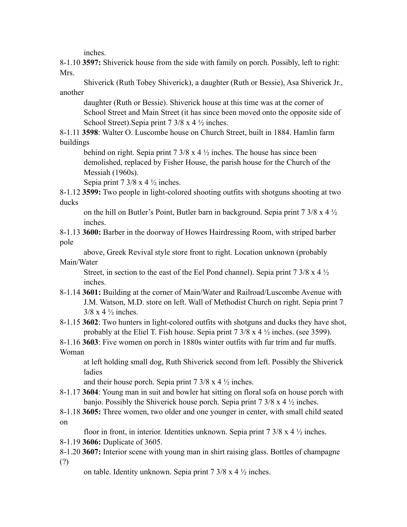inches.

8-1.10 **3597:** Shiverick house from the side with family on porch. Possibly, left to right: Mrs.

Shiverick (Ruth Tobey Shiverick), a daughter (Ruth or Bessie), Asa Shiverick Jr., another

daughter (Ruth or Bessie). Shiverick house at this time was at the corner of School Street and Main Street (it has since been moved onto the opposite side of School Street).Sepia print 7 3/8 x 4 ½ inches.

8-1.11 **3598**: Walter O. Luscombe house on Church Street, built in 1884. Hamlin farm buildings

behind on right. Sepia print  $7 \frac{3}{8} \times 4 \frac{1}{2}$  inches. The house has since been demolished, replaced by Fisher House, the parish house for the Church of the Messiah (1960s).

Sepia print  $7 \frac{3}{8} \times 4 \frac{1}{2}$  inches.

8-1.12 **3599:** Two people in light-colored shooting outfits with shotguns shooting at two ducks

on the hill on Butler's Point, Butler barn in background. Sepia print  $7 \frac{3}{8} \times 4 \frac{1}{2}$ inches.

8-1.13 **3600:** Barber in the doorway of Howes Hairdressing Room, with striped barber pole

above, Greek Revival style store front to right. Location unknown (probably Main/Water

Street, in section to the east of the Eel Pond channel). Sepia print  $7 \frac{3}{8}$  x 4  $\frac{1}{2}$ inches.

8-1.14 **3601:** Building at the corner of Main/Water and Railroad/Luscombe Avenue with J.M. Watson, M.D. store on left. Wall of Methodist Church on right. Sepia print 7  $3/8 \times 4 \frac{1}{2}$  inches.

8-1.15 **3602**: Two hunters in light-colored outfits with shotguns and ducks they have shot, probably at the Eliel T. Fish house. Sepia print 7 3/8 x 4 ½ inches. (see 3599).

8-1.16 **3603**: Five women on porch in 1880s winter outfits with fur trim and fur muffs. Woman

at left holding small dog, Ruth Shiverick second from left. Possibly the Shiverick ladies

and their house porch. Sepia print  $7 \frac{3}{8} \times 4 \frac{1}{2}$  inches.

8-1.17 **3604**: Young man in suit and bowler hat sitting on floral sofa on house porch with banjo. Possibly the Shiverick house porch. Sepia print  $7 \frac{3}{8}$  x 4  $\frac{1}{2}$  inches.

8-1.18 **3605:** Three women, two older and one younger in center, with small child seated on

floor in front, in interior. Identities unknown. Sepia print  $7 \frac{3}{8}$  x 4  $\frac{1}{2}$  inches.

8-1.19 **3606:** Duplicate of 3605.

8-1.20 **3607:** Interior scene with young man in shirt raising glass. Bottles of champagne (?)

on table. Identity unknown. Sepia print 7 3/8 x 4 ½ inches.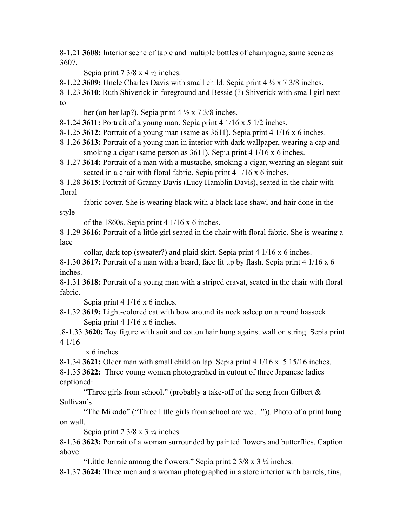8-1.21 **3608:** Interior scene of table and multiple bottles of champagne, same scene as 3607.

Sepia print  $7 \frac{3}{8} \times 4 \frac{1}{2}$  inches.

8-1.22 **3609:** Uncle Charles Davis with small child. Sepia print 4 ½ x 7 3/8 inches.

8-1.23 **3610**: Ruth Shiverick in foreground and Bessie (?) Shiverick with small girl next to

her (on her lap?). Sepia print  $4\frac{1}{2} \times 7\frac{3}{8}$  inches.

8-1.24 **3611:** Portrait of a young man. Sepia print 4 1/16 x 5 1/2 inches.

8-1.25 **3612:** Portrait of a young man (same as 3611). Sepia print 4 1/16 x 6 inches.

- 8-1.26 **3613:** Portrait of a young man in interior with dark wallpaper, wearing a cap and smoking a cigar (same person as 3611). Sepia print 4 1/16 x 6 inches.
- 8-1.27 **3614:** Portrait of a man with a mustache, smoking a cigar, wearing an elegant suit seated in a chair with floral fabric. Sepia print 4 1/16 x 6 inches.

8-1.28 **3615**: Portrait of Granny Davis (Lucy Hamblin Davis), seated in the chair with floral

fabric cover. She is wearing black with a black lace shawl and hair done in the style

of the 1860s. Sepia print 4 1/16 x 6 inches.

8-1.29 **3616:** Portrait of a little girl seated in the chair with floral fabric. She is wearing a lace

collar, dark top (sweater?) and plaid skirt. Sepia print 4 1/16 x 6 inches.

8-1.30 **3617:** Portrait of a man with a beard, face lit up by flash. Sepia print 4 1/16 x 6 inches.

8-1.31 **3618:** Portrait of a young man with a striped cravat, seated in the chair with floral fabric.

Sepia print 4 1/16 x 6 inches.

8-1.32 **3619:** Light-colored cat with bow around its neck asleep on a round hassock. Sepia print 4 1/16 x 6 inches.

.8-1.33 **3620:** Toy figure with suit and cotton hair hung against wall on string. Sepia print 4 1/16

x 6 inches.

8-1.34 **3621:** Older man with small child on lap. Sepia print 4 1/16 x 5 15/16 inches.

8-1.35 **3622:** Three young women photographed in cutout of three Japanese ladies captioned:

"Three girls from school." (probably a take-off of the song from Gilbert  $\&$ Sullivan's

"The Mikado" ("Three little girls from school are we....")). Photo of a print hung on wall.

Sepia print  $2 \frac{3}{8} \times 3 \frac{1}{4}$  inches.

8-1.36 **3623:** Portrait of a woman surrounded by painted flowers and butterflies. Caption above:

"Little Jennie among the flowers." Sepia print 2 3/8 x 3 ¼ inches.

8-1.37 **3624:** Three men and a woman photographed in a store interior with barrels, tins,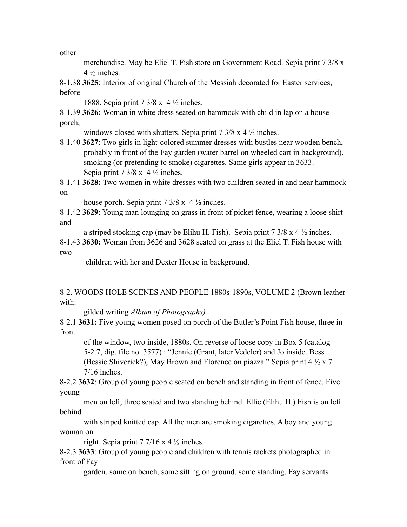other

merchandise. May be Eliel T. Fish store on Government Road. Sepia print 7 3/8 x  $4\frac{1}{2}$  inches.

8-1.38 **3625**: Interior of original Church of the Messiah decorated for Easter services, before

1888. Sepia print 7 3/8 x 4 ½ inches.

8-1.39 **3626:** Woman in white dress seated on hammock with child in lap on a house porch,

windows closed with shutters. Sepia print  $7 \frac{3}{8}$  x 4  $\frac{1}{2}$  inches.

8-1.40 **3627**: Two girls in light-colored summer dresses with bustles near wooden bench, probably in front of the Fay garden (water barrel on wheeled cart in background), smoking (or pretending to smoke) cigarettes. Same girls appear in 3633. Sepia print  $7 \frac{3}{8}$  x  $4 \frac{1}{2}$  inches.

8-1.41 **3628:** Two women in white dresses with two children seated in and near hammock on

house porch. Sepia print  $7 \frac{3}{8} \times 4 \frac{1}{2}$  inches.

8-1.42 **3629**: Young man lounging on grass in front of picket fence, wearing a loose shirt and

a striped stocking cap (may be Elihu H. Fish). Sepia print  $7 \frac{3}{8} \times 4 \frac{1}{2}$  inches.

8-1.43 **3630:** Woman from 3626 and 3628 seated on grass at the Eliel T. Fish house with two

children with her and Dexter House in background.

8-2. WOODS HOLE SCENES AND PEOPLE 1880s-1890s, VOLUME 2 (Brown leather with:

gilded writing *Album of Photographs).*

8-2.1 **3631:** Five young women posed on porch of the Butler's Point Fish house, three in front

of the window, two inside, 1880s. On reverse of loose copy in Box 5 (catalog 5-2.7, dig. file no. 3577) : "Jennie (Grant, later Vedeler) and Jo inside. Bess (Bessie Shiverick?), May Brown and Florence on piazza." Sepia print 4 ½ x 7 7/16 inches.

8-2.2 **3632**: Group of young people seated on bench and standing in front of fence. Five young

men on left, three seated and two standing behind. Ellie (Elihu H.) Fish is on left behind

with striped knitted cap. All the men are smoking cigarettes. A boy and young woman on

right. Sepia print 7 7/16 x 4  $\frac{1}{2}$  inches.

8-2.3 **3633**: Group of young people and children with tennis rackets photographed in front of Fay

garden, some on bench, some sitting on ground, some standing. Fay servants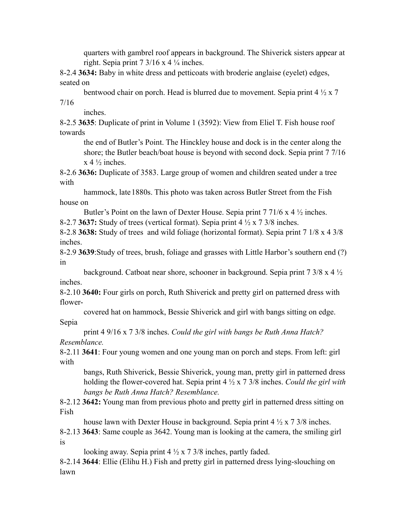quarters with gambrel roof appears in background. The Shiverick sisters appear at right. Sepia print  $7 \frac{3}{16} \times 4 \frac{1}{4}$  inches.

8-2.4 **3634:** Baby in white dress and petticoats with broderie anglaise (eyelet) edges, seated on

bentwood chair on porch. Head is blurred due to movement. Sepia print 4 ½ x 7 7/16

inches.

8-2.5 **3635**: Duplicate of print in Volume 1 (3592): View from Eliel T. Fish house roof towards

the end of Butler's Point. The Hinckley house and dock is in the center along the shore; the Butler beach/boat house is beyond with second dock. Sepia print 7 7/16  $x 4 \frac{1}{2}$  inches.

8-2.6 **3636:** Duplicate of 3583. Large group of women and children seated under a tree with

hammock, late 1880s. This photo was taken across Butler Street from the Fish house on

Butler's Point on the lawn of Dexter House. Sepia print 7 71/6 x 4  $\frac{1}{2}$  inches.

8-2.7 **3637:** Study of trees (vertical format). Sepia print 4 ½ x 7 3/8 inches.

8-2.8 **3638:** Study of trees and wild foliage (horizontal format). Sepia print 7 1/8 x 4 3/8 inches.

8-2.9 **3639**:Study of trees, brush, foliage and grasses with Little Harbor's southern end (?) in

background. Catboat near shore, schooner in background. Sepia print 7 3/8 x 4 ½ inches.

8-2.10 **3640:** Four girls on porch, Ruth Shiverick and pretty girl on patterned dress with flower-

covered hat on hammock, Bessie Shiverick and girl with bangs sitting on edge.

## Sepia

print 4 9/16 x 7 3/8 inches. *Could the girl with bangs be Ruth Anna Hatch? Resemblance.*

8-2.11 **3641**: Four young women and one young man on porch and steps. From left: girl with

bangs, Ruth Shiverick, Bessie Shiverick, young man, pretty girl in patterned dress holding the flower-covered hat. Sepia print 4 ½ x 7 3/8 inches. *Could the girl with bangs be Ruth Anna Hatch? Resemblance.*

8-2.12 **3642:** Young man from previous photo and pretty girl in patterned dress sitting on Fish

house lawn with Dexter House in background. Sepia print 4  $\frac{1}{2}$  x 7 3/8 inches.

8-2.13 **3643**: Same couple as 3642. Young man is looking at the camera, the smiling girl is

looking away. Sepia print  $4\frac{1}{2} \times 7\frac{3}{8}$  inches, partly faded.

8-2.14 **3644**: Ellie (Elihu H.) Fish and pretty girl in patterned dress lying-slouching on lawn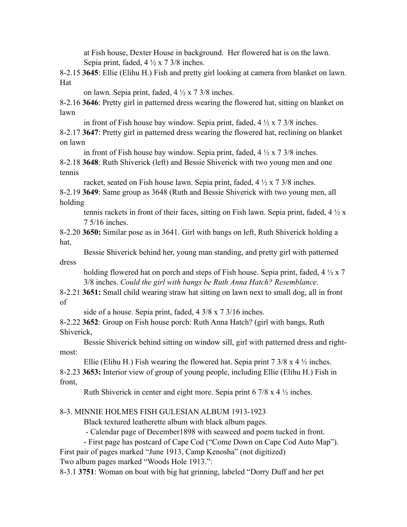at Fish house, Dexter House in background. Her flowered hat is on the lawn. Sepia print, faded,  $4\frac{1}{2} \times 7\frac{3}{8}$  inches.

8-2.15 **3645**: Ellie (Elihu H.) Fish and pretty girl looking at camera from blanket on lawn. Hat

on lawn. Sepia print, faded, 4 ½ x 7 3/8 inches.

8-2.16 **3646**: Pretty girl in patterned dress wearing the flowered hat, sitting on blanket on lawn

in front of Fish house bay window. Sepia print, faded,  $4\frac{1}{2} \times 7\frac{3}{8}$  inches.

8-2.17 **3647**: Pretty girl in patterned dress wearing the flowered hat, reclining on blanket on lawn

in front of Fish house bay window. Sepia print, faded,  $4 \frac{1}{2} \times 7 \frac{3}{8}$  inches. 8-2.18 **3648**: Ruth Shiverick (left) and Bessie Shiverick with two young men and one tennis

racket, seated on Fish house lawn. Sepia print, faded,  $4\frac{1}{2} \times 7\frac{3}{8}$  inches.

8-2.19 **3649**: Same group as 3648 (Ruth and Bessie Shiverick with two young men, all holding

tennis rackets in front of their faces, sitting on Fish lawn. Sepia print, faded,  $4 \frac{1}{2} x$ 7 5/16 inches.

8-2.20 **3650:** Similar pose as in 3641. Girl with bangs on left, Ruth Shiverick holding a hat,

Bessie Shiverick behind her, young man standing, and pretty girl with patterned dress

holding flowered hat on porch and steps of Fish house. Sepia print, faded,  $4\frac{1}{2} \times 7$ 3/8 inches. *Could the girl with bangs be Ruth Anna Hatch? Resemblance.*

8-2.21 **3651:** Small child wearing straw hat sitting on lawn next to small dog, all in front of

side of a house. Sepia print, faded, 4 3/8 x 7 3/16 inches.

8-2.22 **3652**: Group on Fish house porch: Ruth Anna Hatch? (girl with bangs, Ruth Shiverick,

Bessie Shiverick behind sitting on window sill, girl with patterned dress and rightmost:

Ellie (Elihu H.) Fish wearing the flowered hat. Sepia print  $7 \frac{3}{8} \times 4 \frac{1}{2}$  inches. 8-2.23 **3653:** Interior view of group of young people, including Ellie (Elihu H.) Fish in front,

Ruth Shiverick in center and eight more. Sepia print 6 7/8 x 4 ½ inches.

## 8-3. MINNIE HOLMES FISH GULESIAN ALBUM 1913-1923

Black textured leatherette album with black album pages.

- Calendar page of December1898 with seaweed and poem tucked in front.

- First page has postcard of Cape Cod ("Come Down on Cape Cod Auto Map").

First pair of pages marked "June 1913, Camp Kenosha" (not digitized) Two album pages marked "Woods Hole 1913.":

8-3.1 **3751**: Woman on boat with big hat grinning, labeled "Dorry Duff and her pet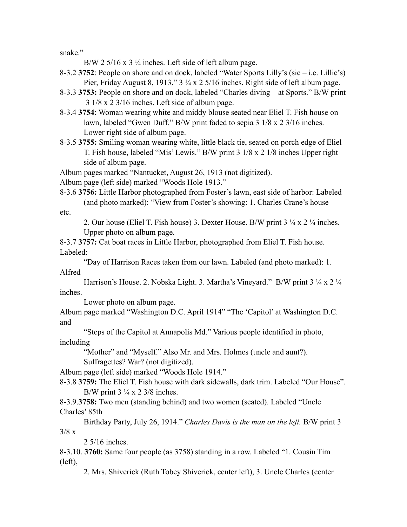snake."

B/W 2 5/16 x 3  $\frac{1}{4}$  inches. Left side of left album page.

- 8-3.2 **3752**: People on shore and on dock, labeled "Water Sports Lilly's (sic i.e. Lillie's) Pier, Friday August 8, 1913." 3 ¼ x 2 5/16 inches. Right side of left album page.
- 8-3.3 **3753:** People on shore and on dock, labeled "Charles diving at Sports." B/W print 3 1/8 x 2 3/16 inches. Left side of album page.
- 8-3.4 **3754**: Woman wearing white and middy blouse seated near Eliel T. Fish house on lawn, labeled "Gwen Duff." B/W print faded to sepia 3 1/8 x 2 3/16 inches. Lower right side of album page.
- 8-3.5 **3755:** Smiling woman wearing white, little black tie, seated on porch edge of Eliel T. Fish house, labeled "Mis' Lewis." B/W print 3 1/8 x 2 1/8 inches Upper right side of album page.

Album pages marked "Nantucket, August 26, 1913 (not digitized).

Album page (left side) marked "Woods Hole 1913."

8-3.6 **3756:** Little Harbor photographed from Foster's lawn, east side of harbor: Labeled (and photo marked): "View from Foster's showing: 1. Charles Crane's house – etc.

2. Our house (Eliel T. Fish house) 3. Dexter House. B/W print 3 ¼ x 2 ¼ inches. Upper photo on album page.

8-3.7 **3757:** Cat boat races in Little Harbor, photographed from Eliel T. Fish house. Labeled:

"Day of Harrison Races taken from our lawn. Labeled (and photo marked): 1. Alfred

Harrison's House. 2. Nobska Light. 3. Martha's Vineyard." B/W print 3 ¼ x 2 ¼ inches.

Lower photo on album page.

Album page marked "Washington D.C. April 1914" "The 'Capitol' at Washington D.C. and

"Steps of the Capitol at Annapolis Md." Various people identified in photo, including

"Mother" and "Myself." Also Mr. and Mrs. Holmes (uncle and aunt?).

Suffragettes? War? (not digitized).

Album page (left side) marked "Woods Hole 1914."

8-3.8 **3759:** The Eliel T. Fish house with dark sidewalls, dark trim. Labeled "Our House". B/W print  $3\frac{1}{4} \times 2\frac{3}{8}$  inches.

8-3.9.**3758:** Two men (standing behind) and two women (seated). Labeled "Uncle Charles' 85th

Birthday Party, July 26, 1914." *Charles Davis is the man on the left.* B/W print 3  $3/8 x$ 

2 5/16 inches.

8-3.10. **3760:** Same four people (as 3758) standing in a row. Labeled "1. Cousin Tim (left),

2. Mrs. Shiverick (Ruth Tobey Shiverick, center left), 3. Uncle Charles (center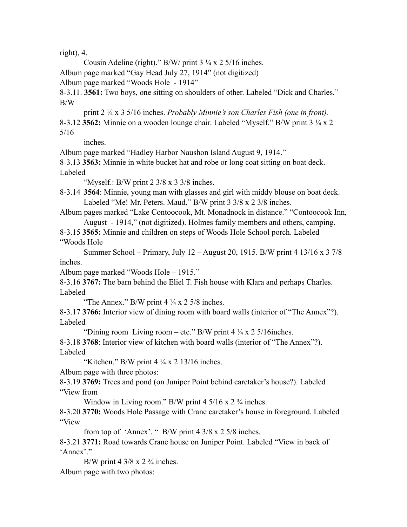right), 4.

Cousin Adeline (right)." B/W/ print  $3\frac{1}{4} \times 2\frac{5}{16}$  inches.

Album page marked "Gay Head July 27, 1914" (not digitized)

Album page marked "Woods Hole - 1914"

8-3.11. **3561:** Two boys, one sitting on shoulders of other. Labeled "Dick and Charles." B/W

print 2 ¼ x 3 5/16 inches. *Probably Minnie's son Charles Fish (one in front).* 8-3.12 **3562:** Minnie on a wooden lounge chair. Labeled "Myself." B/W print 3 ¼ x 2 5/16

inches.

Album page marked "Hadley Harbor Naushon Island August 9, 1914."

8-3.13 **3563:** Minnie in white bucket hat and robe or long coat sitting on boat deck. Labeled

"Myself.: B/W print 2 3/8 x 3 3/8 inches.

8-3.14 **3564**: Minnie, young man with glasses and girl with middy blouse on boat deck. Labeled "Me! Mr. Peters. Maud." B/W print 3 3/8 x 2 3/8 inches.

Album pages marked "Lake Contoocook, Mt. Monadnock in distance." "Contoocook Inn, August - 1914," (not digitized). Holmes family members and others, camping.

8-3.15 **3565:** Minnie and children on steps of Woods Hole School porch. Labeled "Woods Hole

Summer School – Primary, July 12 – August 20, 1915. B/W print 4 13/16 x 3 7/8 inches.

Album page marked "Woods Hole – 1915."

8-3.16 **3767:** The barn behind the Eliel T. Fish house with Klara and perhaps Charles. Labeled

"The Annex." B/W print  $4\frac{1}{4} \times 2\frac{5}{8}$  inches.

8-3.17 **3766:** Interior view of dining room with board walls (interior of "The Annex"?). Labeled

"Dining room Living room – etc." B/W print  $4\frac{1}{4} \times 25/16$ inches.

8-3.18 **3768**: Interior view of kitchen with board walls (interior of "The Annex"?). Labeled

"Kitchen." B/W print  $4\frac{1}{4} \times 2$  13/16 inches.

Album page with three photos:

8-3.19 **3769:** Trees and pond (on Juniper Point behind caretaker's house?). Labeled "View from

Window in Living room." B/W print  $4\frac{5}{16} \times 2\frac{3}{4}$  inches.

8-3.20 **3770:** Woods Hole Passage with Crane caretaker's house in foreground. Labeled "View

from top of 'Annex'. " B/W print 4 3/8 x 2 5/8 inches.

8-3.21 **3771:** Road towards Crane house on Juniper Point. Labeled "View in back of 'Annex'."

B/W print 4  $3/8 \times 2 \frac{3}{4}$  inches. Album page with two photos: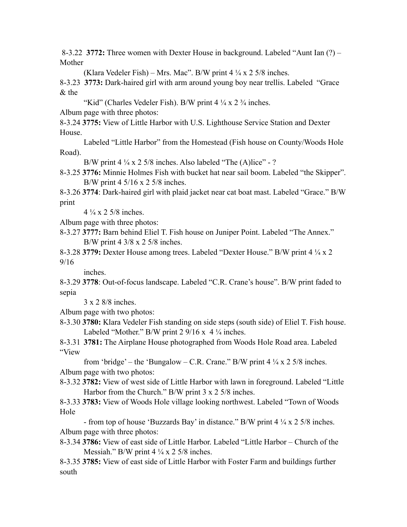8-3.22 **3772:** Three women with Dexter House in background. Labeled "Aunt Ian (?) – Mother

(Klara Vedeler Fish) – Mrs. Mac". B/W print  $4\frac{1}{4}$  x 2 5/8 inches.

8-3.23 **3773:** Dark-haired girl with arm around young boy near trellis. Labeled "Grace & the

"Kid" (Charles Vedeler Fish). B/W print  $4\frac{1}{4} \times 2\frac{3}{4}$  inches.

Album page with three photos:

8-3.24 **3775:** View of Little Harbor with U.S. Lighthouse Service Station and Dexter House.

Labeled "Little Harbor" from the Homestead (Fish house on County/Woods Hole Road).

B/W print  $4\frac{1}{4} \times 2\frac{5}{8}$  inches. Also labeled "The (A)lice" - ?

8-3.25 **3776:** Minnie Holmes Fish with bucket hat near sail boom. Labeled "the Skipper". B/W print 4 5/16 x 2 5/8 inches.

8-3.26 **3774**: Dark-haired girl with plaid jacket near cat boat mast. Labeled "Grace." B/W print

 $4\frac{1}{4}$  x 2 5/8 inches.

Album page with three photos:

8-3.27 **3777:** Barn behind Eliel T. Fish house on Juniper Point. Labeled "The Annex." B/W print 4 3/8 x 2 5/8 inches.

8-3.28 **3779:** Dexter House among trees. Labeled "Dexter House." B/W print 4 ¼ x 2 9/16

inches.

8-3.29 **3778**: Out-of-focus landscape. Labeled "C.R. Crane's house". B/W print faded to sepia

3 x 2 8/8 inches.

Album page with two photos:

8-3.30 **3780:** Klara Vedeler Fish standing on side steps (south side) of Eliel T. Fish house. Labeled "Mother." B/W print 2  $9/16 \times 4\frac{1}{4}$  inches.

8-3.31 **3781:** The Airplane House photographed from Woods Hole Road area. Labeled "View

from 'bridge' – the 'Bungalow – C.R. Crane." B/W print  $4\frac{1}{4} \times 2\frac{5}{8}$  inches. Album page with two photos:

8-3.32 **3782:** View of west side of Little Harbor with lawn in foreground. Labeled "Little Harbor from the Church." B/W print 3 x 2 5/8 inches.

8-3.33 **3783:** View of Woods Hole village looking northwest. Labeled "Town of Woods Hole

- from top of house 'Buzzards Bay' in distance." B/W print 4 ¼ x 2 5/8 inches. Album page with three photos:

8-3.34 **3786:** View of east side of Little Harbor. Labeled "Little Harbor – Church of the Messiah." B/W print  $4\frac{1}{4} \times 2\frac{5}{8}$  inches.

8-3.35 **3785:** View of east side of Little Harbor with Foster Farm and buildings further south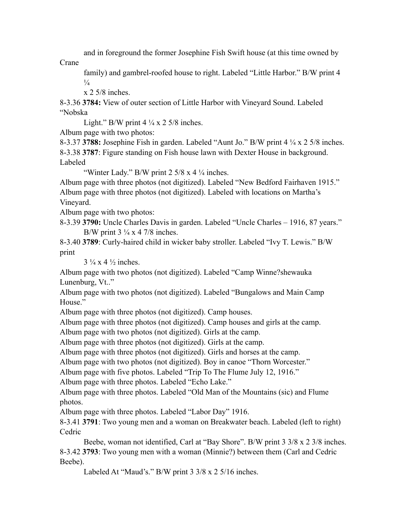and in foreground the former Josephine Fish Swift house (at this time owned by

Crane

family) and gambrel-roofed house to right. Labeled "Little Harbor." B/W print 4  $\frac{1}{4}$ 

x 2 5/8 inches.

8-3.36 **3784:** View of outer section of Little Harbor with Vineyard Sound. Labeled "Nobska

Light." B/W print  $4\frac{1}{4} \times 2\frac{5}{8}$  inches.

Album page with two photos:

8-3.37 **3788:** Josephine Fish in garden. Labeled "Aunt Jo." B/W print 4 ¼ x 2 5/8 inches. 8-3.38 **3787**: Figure standing on Fish house lawn with Dexter House in background. Labeled

"Winter Lady." B/W print  $2\frac{5}{8} \times 4\frac{1}{4}$  inches.

Album page with three photos (not digitized). Labeled "New Bedford Fairhaven 1915." Album page with three photos (not digitized). Labeled with locations on Martha's Vineyard.

Album page with two photos:

8-3.39 **3790:** Uncle Charles Davis in garden. Labeled "Uncle Charles – 1916, 87 years." B/W print  $3\frac{1}{4} \times 4$  7/8 inches.

8-3.40 **3789**: Curly-haired child in wicker baby stroller. Labeled "Ivy T. Lewis." B/W print

 $3\frac{1}{4}$  x 4  $\frac{1}{2}$  inches.

Album page with two photos (not digitized). Labeled "Camp Winne?shewauka Lunenburg, Vt.."

Album page with two photos (not digitized). Labeled "Bungalows and Main Camp House."

Album page with three photos (not digitized). Camp houses.

Album page with three photos (not digitized). Camp houses and girls at the camp.

Album page with two photos (not digitized). Girls at the camp.

Album page with three photos (not digitized). Girls at the camp.

Album page with three photos (not digitized). Girls and horses at the camp.

Album page with two photos (not digitized). Boy in canoe "Thorn Worcester."

Album page with five photos. Labeled "Trip To The Flume July 12, 1916."

Album page with three photos. Labeled "Echo Lake."

Album page with three photos. Labeled "Old Man of the Mountains (sic) and Flume photos.

Album page with three photos. Labeled "Labor Day" 1916.

8-3.41 **3791**: Two young men and a woman on Breakwater beach. Labeled (left to right) **Cedric** 

Beebe, woman not identified, Carl at "Bay Shore". B/W print 3 3/8 x 2 3/8 inches. 8-3.42 **3793**: Two young men with a woman (Minnie?) between them (Carl and Cedric Beebe).

Labeled At "Maud's." B/W print 3 3/8 x 2 5/16 inches.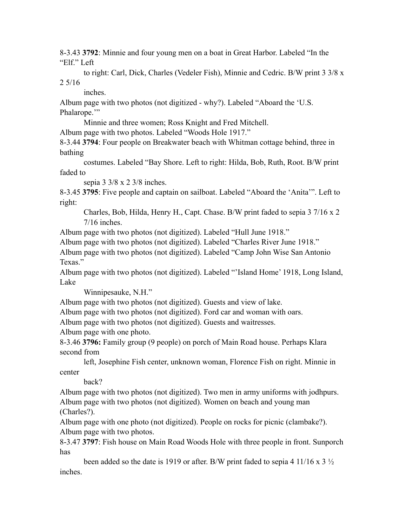8-3.43 **3792**: Minnie and four young men on a boat in Great Harbor. Labeled "In the "Elf." Left

to right: Carl, Dick, Charles (Vedeler Fish), Minnie and Cedric. B/W print 3 3/8 x 2 5/16

inches.

Album page with two photos (not digitized - why?). Labeled "Aboard the 'U.S. Phalarope.'"

Minnie and three women; Ross Knight and Fred Mitchell.

Album page with two photos. Labeled "Woods Hole 1917."

8-3.44 **3794**: Four people on Breakwater beach with Whitman cottage behind, three in bathing

costumes. Labeled "Bay Shore. Left to right: Hilda, Bob, Ruth, Root. B/W print faded to

sepia 3 3/8 x 2 3/8 inches.

8-3.45 **3795**: Five people and captain on sailboat. Labeled "Aboard the 'Anita'". Left to right:

Charles, Bob, Hilda, Henry H., Capt. Chase. B/W print faded to sepia 3 7/16 x 2 7/16 inches.

Album page with two photos (not digitized). Labeled "Hull June 1918."

Album page with two photos (not digitized). Labeled "Charles River June 1918."

Album page with two photos (not digitized). Labeled "Camp John Wise San Antonio Texas."

Album page with two photos (not digitized). Labeled "'Island Home' 1918, Long Island, Lake

Winnipesauke, N.H."

Album page with two photos (not digitized). Guests and view of lake.

Album page with two photos (not digitized). Ford car and woman with oars.

Album page with two photos (not digitized). Guests and waitresses.

Album page with one photo.

8-3.46 **3796:** Family group (9 people) on porch of Main Road house. Perhaps Klara second from

left, Josephine Fish center, unknown woman, Florence Fish on right. Minnie in center

back?

Album page with two photos (not digitized). Two men in army uniforms with jodhpurs. Album page with two photos (not digitized). Women on beach and young man (Charles?).

Album page with one photo (not digitized). People on rocks for picnic (clambake?). Album page with two photos.

8-3.47 **3797**: Fish house on Main Road Woods Hole with three people in front. Sunporch has

been added so the date is 1919 or after. B/W print faded to sepia 4 11/16 x 3  $\frac{1}{2}$ inches.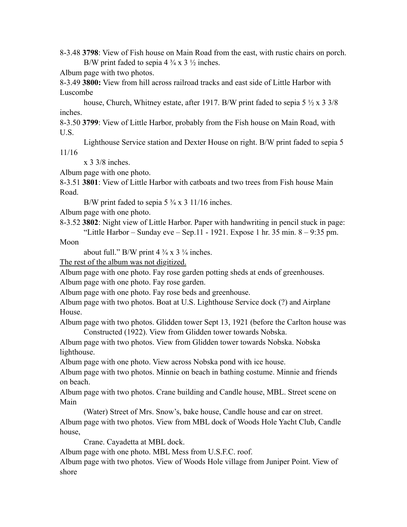8-3.48 **3798**: View of Fish house on Main Road from the east, with rustic chairs on porch. B/W print faded to sepia  $4\frac{3}{4} \times 3\frac{1}{2}$  inches.

Album page with two photos.

8-3.49 **3800:** View from hill across railroad tracks and east side of Little Harbor with Luscombe

house, Church, Whitney estate, after 1917. B/W print faded to sepia 5  $\frac{1}{2}$  x 3 3/8 inches.

8-3.50 **3799**: View of Little Harbor, probably from the Fish house on Main Road, with U.S.

Lighthouse Service station and Dexter House on right. B/W print faded to sepia 5

11/16

x 3 3/8 inches.

Album page with one photo.

8-3.51 **3801**: View of Little Harbor with catboats and two trees from Fish house Main Road.

B/W print faded to sepia 5  $\frac{3}{4}$  x 3 11/16 inches.

Album page with one photo.

8-3.52 **3802**: Night view of Little Harbor. Paper with handwriting in pencil stuck in page: "Little Harbor – Sunday eve – Sep.11 - 1921. Expose 1 hr. 35 min.  $8 - 9:35$  pm.

Moon

about full." B/W print  $4\frac{3}{4} \times 3\frac{1}{4}$  inches.

The rest of the album was not digitized.

Album page with one photo. Fay rose garden potting sheds at ends of greenhouses. Album page with one photo. Fay rose garden.

Album page with one photo. Fay rose beds and greenhouse.

Album page with two photos. Boat at U.S. Lighthouse Service dock (?) and Airplane House.

Album page with two photos. Glidden tower Sept 13, 1921 (before the Carlton house was Constructed (1922). View from Glidden tower towards Nobska.

Album page with two photos. View from Glidden tower towards Nobska. Nobska lighthouse.

Album page with one photo. View across Nobska pond with ice house.

Album page with two photos. Minnie on beach in bathing costume. Minnie and friends on beach.

Album page with two photos. Crane building and Candle house, MBL. Street scene on Main

(Water) Street of Mrs. Snow's, bake house, Candle house and car on street. Album page with two photos. View from MBL dock of Woods Hole Yacht Club, Candle house,

Crane. Cayadetta at MBL dock.

Album page with one photo. MBL Mess from U.S.F.C. roof.

Album page with two photos. View of Woods Hole village from Juniper Point. View of shore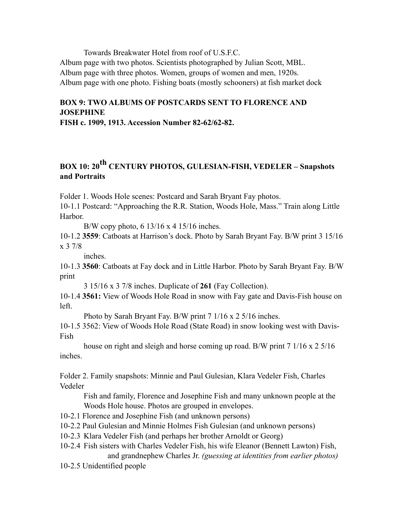Towards Breakwater Hotel from roof of U.S.F.C. Album page with two photos. Scientists photographed by Julian Scott, MBL. Album page with three photos. Women, groups of women and men, 1920s. Album page with one photo. Fishing boats (mostly schooners) at fish market dock

# **BOX 9: TWO ALBUMS OF POSTCARDS SENT TO FLORENCE AND JOSEPHINE**

**FISH c. 1909, 1913. Accession Number 82-62/62-82.**

# **BOX 10: 20<sup>th</sup> CENTURY PHOTOS, GULESIAN-FISH, VEDELER – Snapshots and Portraits**

Folder 1. Woods Hole scenes: Postcard and Sarah Bryant Fay photos.

10-1.1 Postcard: "Approaching the R.R. Station, Woods Hole, Mass." Train along Little Harbor.

B/W copy photo, 6 13/16 x 4 15/16 inches.

10-1.2 **3559**: Catboats at Harrison's dock. Photo by Sarah Bryant Fay. B/W print 3 15/16 x 3 7/8

inches.

10-1.3 **3560**: Catboats at Fay dock and in Little Harbor. Photo by Sarah Bryant Fay. B/W print

3 15/16 x 3 7/8 inches. Duplicate of **261** (Fay Collection).

10-1.4 **3561:** View of Woods Hole Road in snow with Fay gate and Davis-Fish house on left.

Photo by Sarah Bryant Fay. B/W print 7 1/16 x 2 5/16 inches.

10-1.5 3562: View of Woods Hole Road (State Road) in snow looking west with Davis-Fish

house on right and sleigh and horse coming up road. B/W print 7 1/16 x 2 5/16 inches.

Folder 2. Family snapshots: Minnie and Paul Gulesian, Klara Vedeler Fish, Charles Vedeler

Fish and family, Florence and Josephine Fish and many unknown people at the Woods Hole house. Photos are grouped in envelopes.

10-2.1 Florence and Josephine Fish (and unknown persons)

10-2.2 Paul Gulesian and Minnie Holmes Fish Gulesian (and unknown persons)

- 10-2.3 Klara Vedeler Fish (and perhaps her brother Arnoldt or Georg)
- 10-2.4 Fish sisters with Charles Vedeler Fish, his wife Eleanor (Bennett Lawton) Fish, and grandnephew Charles Jr. *(guessing at identities from earlier photos)*

10-2.5 Unidentified people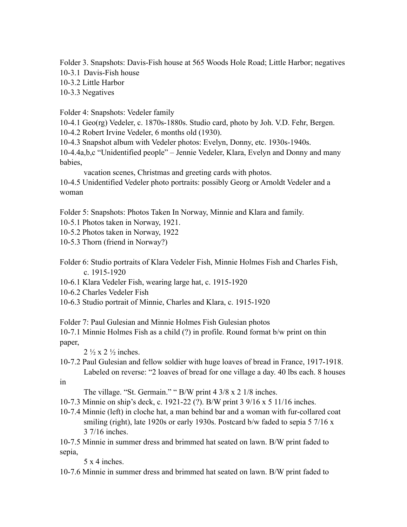Folder 3. Snapshots: Davis-Fish house at 565 Woods Hole Road; Little Harbor; negatives 10-3.1 Davis-Fish house

10-3.2 Little Harbor

10-3.3 Negatives

Folder 4: Snapshots: Vedeler family

10-4.1 Geo(rg) Vedeler, c. 1870s-1880s. Studio card, photo by Joh. V.D. Fehr, Bergen.

10-4.2 Robert Irvine Vedeler, 6 months old (1930).

10-4.3 Snapshot album with Vedeler photos: Evelyn, Donny, etc. 1930s-1940s.

10-4.4a,b,c "Unidentified people" – Jennie Vedeler, Klara, Evelyn and Donny and many babies,

vacation scenes, Christmas and greeting cards with photos.

10-4.5 Unidentified Vedeler photo portraits: possibly Georg or Arnoldt Vedeler and a woman

Folder 5: Snapshots: Photos Taken In Norway, Minnie and Klara and family.

10-5.1 Photos taken in Norway, 1921.

10-5.2 Photos taken in Norway, 1922

10-5.3 Thorn (friend in Norway?)

Folder 6: Studio portraits of Klara Vedeler Fish, Minnie Holmes Fish and Charles Fish, c. 1915-1920

10-6.1 Klara Vedeler Fish, wearing large hat, c. 1915-1920

10-6.2 Charles Vedeler Fish

10-6.3 Studio portrait of Minnie, Charles and Klara, c. 1915-1920

Folder 7: Paul Gulesian and Minnie Holmes Fish Gulesian photos

10-7.1 Minnie Holmes Fish as a child (?) in profile. Round format b/w print on thin paper,

 $2 \frac{1}{2}$  x 2  $\frac{1}{2}$  inches.

10-7.2 Paul Gulesian and fellow soldier with huge loaves of bread in France, 1917-1918. Labeled on reverse: "2 loaves of bread for one village a day. 40 lbs each. 8 houses in

The village. "St. Germain." " B/W print 4 3/8 x 2 1/8 inches.

10-7.3 Minnie on ship's deck, c. 1921-22 (?). B/W print 3 9/16 x 5 11/16 inches.

10-7.4 Minnie (left) in cloche hat, a man behind bar and a woman with fur-collared coat smiling (right), late 1920s or early 1930s. Postcard b/w faded to sepia 5 7/16 x 3 7/16 inches.

10-7.5 Minnie in summer dress and brimmed hat seated on lawn. B/W print faded to sepia,

5 x 4 inches.

10-7.6 Minnie in summer dress and brimmed hat seated on lawn. B/W print faded to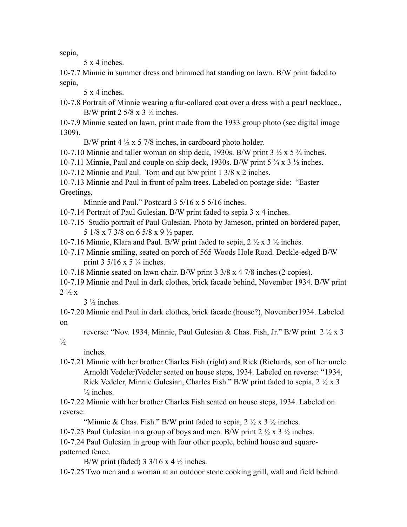sepia,

5 x 4 inches.

10-7.7 Minnie in summer dress and brimmed hat standing on lawn. B/W print faded to sepia,

5 x 4 inches.

10-7.8 Portrait of Minnie wearing a fur-collared coat over a dress with a pearl necklace., B/W print  $2\frac{5}{8}$  x  $3\frac{1}{4}$  inches.

10-7.9 Minnie seated on lawn, print made from the 1933 group photo (see digital image 1309).

B/W print  $4\frac{1}{2} \times 5$  7/8 inches, in cardboard photo holder.

10-7.10 Minnie and taller woman on ship deck, 1930s. B/W print  $3 \frac{1}{2} \times 5 \frac{3}{4}$  inches.

10-7.11 Minnie, Paul and couple on ship deck, 1930s. B/W print  $5\frac{3}{4} \times 3\frac{1}{2}$  inches.

10-7.12 Minnie and Paul. Torn and cut b/w print 1 3/8 x 2 inches.

10-7.13 Minnie and Paul in front of palm trees. Labeled on postage side: "Easter Greetings,

Minnie and Paul." Postcard 3 5/16 x 5 5/16 inches.

10-7.14 Portrait of Paul Gulesian. B/W print faded to sepia 3 x 4 inches.

10-7.15 Studio portrait of Paul Gulesian. Photo by Jameson, printed on bordered paper, 5 1/8 x 7 3/8 on 6 5/8 x 9 ½ paper.

10-7.16 Minnie, Klara and Paul. B/W print faded to sepia, 2 ½ x 3 ½ inches.

10-7.17 Minnie smiling, seated on porch of 565 Woods Hole Road. Deckle-edged B/W print  $3\frac{5}{16}$  x  $5\frac{1}{4}$  inches.

10-7.18 Minnie seated on lawn chair. B/W print 3 3/8 x 4 7/8 inches (2 copies).

10-7.19 Minnie and Paul in dark clothes, brick facade behind, November 1934. B/W print  $2\frac{1}{2}x$ 

 $3\frac{1}{2}$  inches.

10-7.20 Minnie and Paul in dark clothes, brick facade (house?), November1934. Labeled on

reverse: "Nov. 1934, Minnie, Paul Gulesian & Chas. Fish, Jr." B/W print  $2 \frac{1}{2} \times 3$ 

 $\frac{1}{2}$ 

inches.

10-7.21 Minnie with her brother Charles Fish (right) and Rick (Richards, son of her uncle Arnoldt Vedeler)Vedeler seated on house steps, 1934. Labeled on reverse: "1934, Rick Vedeler, Minnie Gulesian, Charles Fish." B/W print faded to sepia, 2 ½ x 3  $\frac{1}{2}$  inches.

10-7.22 Minnie with her brother Charles Fish seated on house steps, 1934. Labeled on reverse:

"Minnie & Chas. Fish." B/W print faded to sepia,  $2 \frac{1}{2} \times 3 \frac{1}{2}$  inches.

10-7.23 Paul Gulesian in a group of boys and men. B/W print 2 ½ x 3 ½ inches.

10-7.24 Paul Gulesian in group with four other people, behind house and squarepatterned fence.

B/W print (faded) 3 3/16 x 4  $\frac{1}{2}$  inches.

10-7.25 Two men and a woman at an outdoor stone cooking grill, wall and field behind.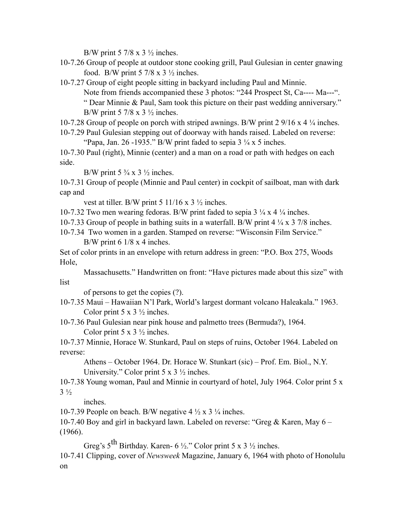B/W print 5 7/8 x 3  $\frac{1}{2}$  inches.

10-7.26 Group of people at outdoor stone cooking grill, Paul Gulesian in center gnawing food. B/W print 5 7/8 x 3  $\frac{1}{2}$  inches.

10-7.27 Group of eight people sitting in backyard including Paul and Minnie. Note from friends accompanied these 3 photos: "244 Prospect St, Ca---- Ma---". " Dear Minnie & Paul, Sam took this picture on their past wedding anniversary." B/W print  $5 \frac{7}{8}$  x  $3 \frac{1}{2}$  inches.

10-7.28 Group of people on porch with striped awnings. B/W print 2 9/16 x 4 ¼ inches.

10-7.29 Paul Gulesian stepping out of doorway with hands raised. Labeled on reverse: "Papa, Jan. 26 -1935." B/W print faded to sepia  $3\frac{1}{4}$  x 5 inches.

10-7.30 Paul (right), Minnie (center) and a man on a road or path with hedges on each side.

B/W print  $5\frac{3}{4} \times 3\frac{1}{2}$  inches.

10-7.31 Group of people (Minnie and Paul center) in cockpit of sailboat, man with dark cap and

vest at tiller. B/W print 5 11/16 x 3  $\frac{1}{2}$  inches.

10-7.32 Two men wearing fedoras. B/W print faded to sepia  $3\frac{1}{4} \times 4\frac{1}{4}$  inches.

10-7.33 Group of people in bathing suits in a waterfall. B/W print 4 ¼ x 3 7/8 inches.

10-7.34 Two women in a garden. Stamped on reverse: "Wisconsin Film Service." B/W print 6 1/8 x 4 inches.

Set of color prints in an envelope with return address in green: "P.O. Box 275, Woods Hole,

Massachusetts." Handwritten on front: "Have pictures made about this size" with list

of persons to get the copies (?).

10-7.35 Maui – Hawaiian N'l Park, World's largest dormant volcano Haleakala." 1963. Color print 5 x  $3\frac{1}{2}$  inches.

10-7.36 Paul Gulesian near pink house and palmetto trees (Bermuda?), 1964. Color print 5 x  $3\frac{1}{2}$  inches.

10-7.37 Minnie, Horace W. Stunkard, Paul on steps of ruins, October 1964. Labeled on reverse:

Athens – October 1964. Dr. Horace W. Stunkart (sic) – Prof. Em. Biol., N.Y. University." Color print  $5 \times 3 \frac{1}{2}$  inches.

10-7.38 Young woman, Paul and Minnie in courtyard of hotel, July 1964. Color print 5 x  $3\frac{1}{2}$ 

inches.

10-7.39 People on beach. B/W negative  $4\frac{1}{2} \times 3\frac{1}{4}$  inches.

10-7.40 Boy and girl in backyard lawn. Labeled on reverse: "Greg & Karen, May 6 – (1966).

Greg's  $5<sup>th</sup>$  Birthday. Karen- 6 ½." Color print 5 x 3 ½ inches.

10-7.41 Clipping, cover of *Newsweek* Magazine, January 6, 1964 with photo of Honolulu on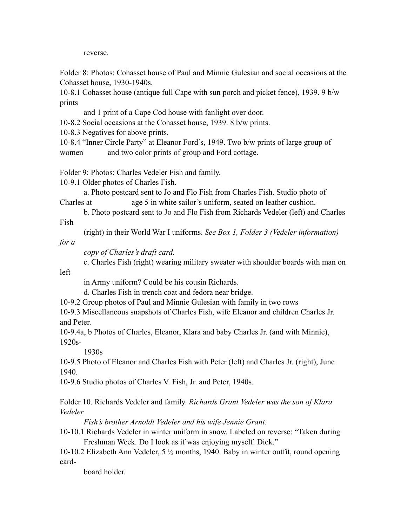reverse.

Folder 8: Photos: Cohasset house of Paul and Minnie Gulesian and social occasions at the Cohasset house, 1930-1940s.

10-8.1 Cohasset house (antique full Cape with sun porch and picket fence), 1939. 9 b/w prints

and 1 print of a Cape Cod house with fanlight over door.

10-8.2 Social occasions at the Cohasset house, 1939. 8 b/w prints.

10-8.3 Negatives for above prints.

10-8.4 "Inner Circle Party" at Eleanor Ford's, 1949. Two b/w prints of large group of women and two color prints of group and Ford cottage.

Folder 9: Photos: Charles Vedeler Fish and family.

10-9.1 Older photos of Charles Fish.

a. Photo postcard sent to Jo and Flo Fish from Charles Fish. Studio photo of Charles at age 5 in white sailor's uniform, seated on leather cushion.

b. Photo postcard sent to Jo and Flo Fish from Richards Vedeler (left) and Charles Fish

(right) in their World War I uniforms. *See Box 1, Folder 3 (Vedeler information)* 

*for a*

left

*copy of Charles's draft card.*

c. Charles Fish (right) wearing military sweater with shoulder boards with man on

in Army uniform? Could be his cousin Richards.

d. Charles Fish in trench coat and fedora near bridge.

10-9.2 Group photos of Paul and Minnie Gulesian with family in two rows

10-9.3 Miscellaneous snapshots of Charles Fish, wife Eleanor and children Charles Jr. and Peter.

10-9.4a, b Photos of Charles, Eleanor, Klara and baby Charles Jr. (and with Minnie), 1920s-

1930s

10-9.5 Photo of Eleanor and Charles Fish with Peter (left) and Charles Jr. (right), June 1940.

10-9.6 Studio photos of Charles V. Fish, Jr. and Peter, 1940s.

Folder 10. Richards Vedeler and family. *Richards Grant Vedeler was the son of Klara Vedeler* 

*Fish's brother Arnoldt Vedeler and his wife Jennie Grant.*

10-10.1 Richards Vedeler in winter uniform in snow. Labeled on reverse: "Taken during Freshman Week. Do I look as if was enjoying myself. Dick."

10-10.2 Elizabeth Ann Vedeler, 5 ½ months, 1940. Baby in winter outfit, round opening card-

board holder.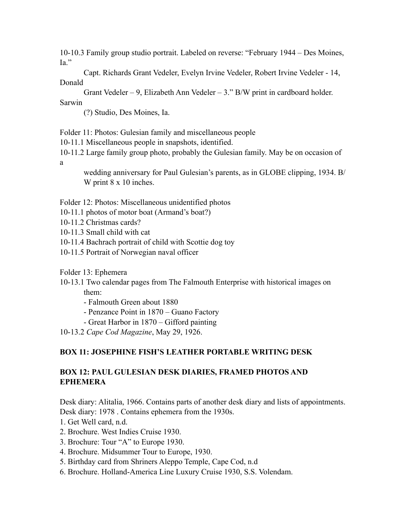10-10.3 Family group studio portrait. Labeled on reverse: "February 1944 – Des Moines, Ia."

Capt. Richards Grant Vedeler, Evelyn Irvine Vedeler, Robert Irvine Vedeler - 14, Donald

Grant Vedeler – 9, Elizabeth Ann Vedeler – 3." B/W print in cardboard holder.

Sarwin

(?) Studio, Des Moines, Ia.

Folder 11: Photos: Gulesian family and miscellaneous people

10-11.1 Miscellaneous people in snapshots, identified.

10-11.2 Large family group photo, probably the Gulesian family. May be on occasion of a

wedding anniversary for Paul Gulesian's parents, as in GLOBE clipping, 1934. B/ W print 8 x 10 inches.

Folder 12: Photos: Miscellaneous unidentified photos

- 10-11.1 photos of motor boat (Armand's boat?)
- 10-11.2 Christmas cards?

10-11.3 Small child with cat

- 10-11.4 Bachrach portrait of child with Scottie dog toy
- 10-11.5 Portrait of Norwegian naval officer

Folder 13: Ephemera

10-13.1 Two calendar pages from The Falmouth Enterprise with historical images on them:

- Falmouth Green about 1880
- Penzance Point in 1870 Guano Factory
- Great Harbor in 1870 Gifford painting

10-13.2 *Cape Cod Magazine*, May 29, 1926.

# **BOX 11: JOSEPHINE FISH'S LEATHER PORTABLE WRITING DESK**

# **BOX 12: PAUL GULESIAN DESK DIARIES, FRAMED PHOTOS AND EPHEMERA**

Desk diary: Alitalia, 1966. Contains parts of another desk diary and lists of appointments. Desk diary: 1978 . Contains ephemera from the 1930s.

- 1. Get Well card, n.d.
- 2. Brochure. West Indies Cruise 1930.
- 3. Brochure: Tour "A" to Europe 1930.
- 4. Brochure. Midsummer Tour to Europe, 1930.
- 5. Birthday card from Shriners Aleppo Temple, Cape Cod, n.d
- 6. Brochure. Holland-America Line Luxury Cruise 1930, S.S. Volendam.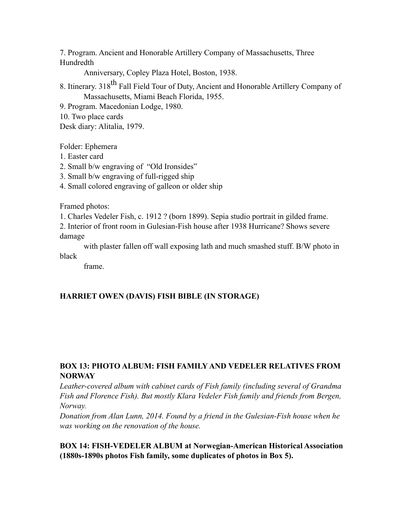7. Program. Ancient and Honorable Artillery Company of Massachusetts, Three Hundredth

Anniversary, Copley Plaza Hotel, Boston, 1938.

8. Itinerary. 318<sup>th</sup> Fall Field Tour of Duty, Ancient and Honorable Artillery Company of Massachusetts, Miami Beach Florida, 1955.

9. Program. Macedonian Lodge, 1980.

10. Two place cards

Desk diary: Alitalia, 1979.

Folder: Ephemera

- 1. Easter card
- 2. Small b/w engraving of "Old Ironsides"
- 3. Small b/w engraving of full-rigged ship

4. Small colored engraving of galleon or older ship

Framed photos:

1. Charles Vedeler Fish, c. 1912 ? (born 1899). Sepia studio portrait in gilded frame.

2. Interior of front room in Gulesian-Fish house after 1938 Hurricane? Shows severe damage

with plaster fallen off wall exposing lath and much smashed stuff. B/W photo in black

frame.

# **HARRIET OWEN (DAVIS) FISH BIBLE (IN STORAGE)**

# **BOX 13: PHOTO ALBUM: FISH FAMILY AND VEDELER RELATIVES FROM NORWAY**

*Leather-covered album with cabinet cards of Fish family (including several of Grandma Fish and Florence Fish). But mostly Klara Vedeler Fish family and friends from Bergen, Norway.*

*Donation from Alan Lunn, 2014. Found by a friend in the Gulesian-Fish house when he was working on the renovation of the house.*

**BOX 14: FISH-VEDELER ALBUM at Norwegian-American Historical Association (1880s-1890s photos Fish family, some duplicates of photos in Box 5).**